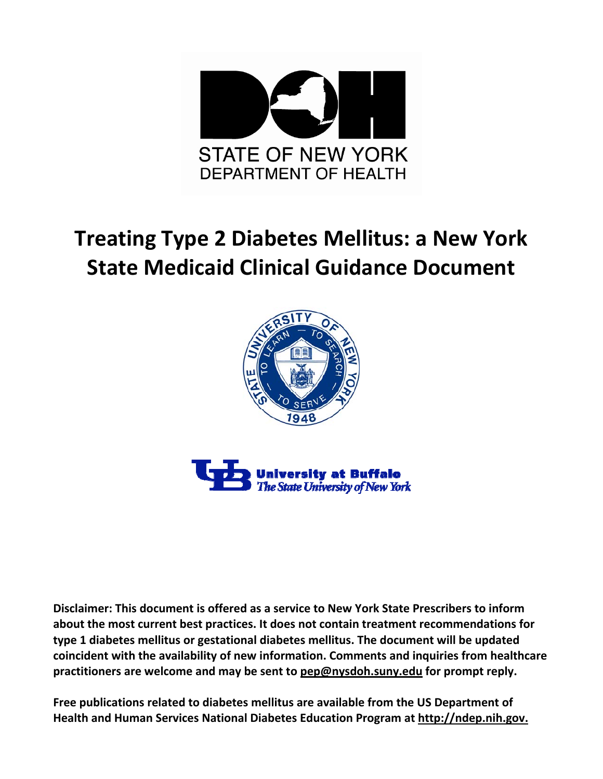

# **Treating Type 2 Diabetes Mellitus: a New York State Medicaid Clinical Guidance Document**





**Disclaimer: This document is offered as a service to New York State Prescribers to inform about the most current best practices. It does not contain treatment recommendations for type 1 diabetes mellitus or gestational diabetes mellitus. The document will be updated coincident with the availability of new information. Comments and inquiries from healthcare practitioners are welcome and may be sent to pep@nysdoh.suny.edu for prompt reply.**

**Free publications related to diabetes mellitus are available from the US Department of Health and Human Services National Diabetes Education Program at http://ndep.nih.gov.**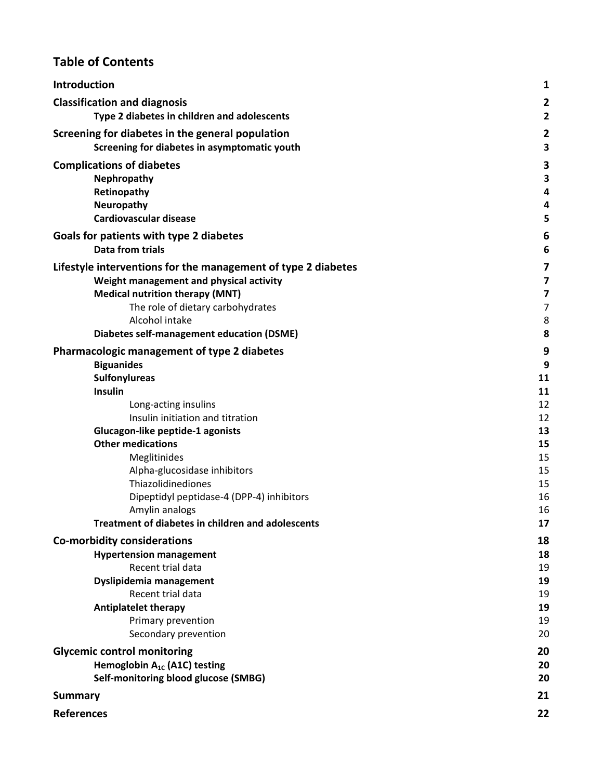# **Table of Contents**

| Introduction                                                  | 1                       |
|---------------------------------------------------------------|-------------------------|
| <b>Classification and diagnosis</b>                           | 2                       |
| Type 2 diabetes in children and adolescents                   | $\overline{\mathbf{c}}$ |
| Screening for diabetes in the general population              | 2                       |
| Screening for diabetes in asymptomatic youth                  | 3                       |
| <b>Complications of diabetes</b>                              | 3                       |
| Nephropathy                                                   | 3                       |
| Retinopathy                                                   | 4                       |
| Neuropathy                                                    | 4                       |
| <b>Cardiovascular disease</b>                                 | 5                       |
| Goals for patients with type 2 diabetes                       | 6                       |
| <b>Data from trials</b>                                       | 6                       |
| Lifestyle interventions for the management of type 2 diabetes | 7                       |
| Weight management and physical activity                       | 7                       |
| <b>Medical nutrition therapy (MNT)</b>                        | 7                       |
| The role of dietary carbohydrates                             | 7                       |
| Alcohol intake                                                | 8                       |
| <b>Diabetes self-management education (DSME)</b>              | 8                       |
| Pharmacologic management of type 2 diabetes                   | 9                       |
| <b>Biguanides</b>                                             | 9                       |
| <b>Sulfonylureas</b>                                          | 11                      |
| Insulin                                                       | 11                      |
| Long-acting insulins                                          | 12                      |
| Insulin initiation and titration                              | 12                      |
| Glucagon-like peptide-1 agonists                              | 13                      |
| <b>Other medications</b>                                      | 15                      |
| Meglitinides                                                  | 15                      |
| Alpha-glucosidase inhibitors<br>Thiazolidinediones            | 15<br>15                |
| Dipeptidyl peptidase-4 (DPP-4) inhibitors                     | 16                      |
| Amylin analogs                                                | 16                      |
| <b>Treatment of diabetes in children and adolescents</b>      | 17                      |
| <b>Co-morbidity considerations</b>                            | 18                      |
| <b>Hypertension management</b>                                | 18                      |
| Recent trial data                                             | 19                      |
| Dyslipidemia management                                       | 19                      |
| Recent trial data                                             | 19                      |
| <b>Antiplatelet therapy</b>                                   | 19                      |
| Primary prevention                                            | 19                      |
| Secondary prevention                                          | 20                      |
| <b>Glycemic control monitoring</b>                            | 20                      |
| Hemoglobin A <sub>1c</sub> (A1C) testing                      | 20                      |
| Self-monitoring blood glucose (SMBG)                          | 20                      |
| <b>Summary</b>                                                | 21                      |
| <b>References</b>                                             | 22                      |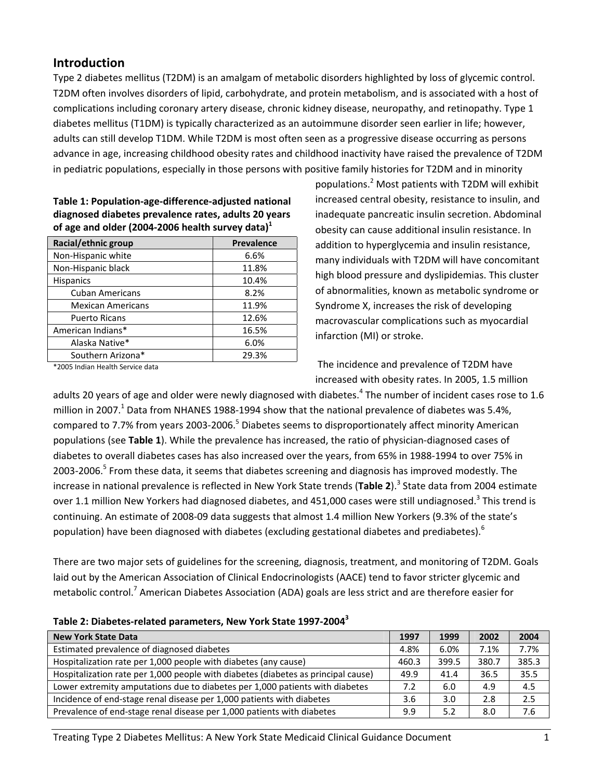# **Introduction**

Type 2 diabetes mellitus (T2DM) is an amalgam of metabolic disorders highlighted by loss of glycemic control. T2DM often involves disorders of lipid, carbohydrate, and protein metabolism, and is associated with a host of complications including coronary artery disease, chronic kidney disease, neuropathy, and retinopathy. Type 1 diabetes mellitus (T1DM) is typically characterized as an autoimmune disorder seen earlier in life; however, adults can still develop T1DM. While T2DM is most often seen as a progressive disease occurring as persons advance in age, increasing childhood obesity rates and childhood inactivity have raised the prevalence of T2DM in pediatric populations, especially in those persons with positive family histories for T2DM and in minority

| 01 agu ana olau (2004 2000 nuaith sarvuy aata) |                   |  |  |  |
|------------------------------------------------|-------------------|--|--|--|
| Racial/ethnic group                            | <b>Prevalence</b> |  |  |  |
| Non-Hispanic white                             | 6.6%              |  |  |  |
| Non-Hispanic black                             | 11.8%             |  |  |  |
| <b>Hispanics</b>                               | 10.4%             |  |  |  |
| <b>Cuban Americans</b>                         | 8.2%              |  |  |  |
| <b>Mexican Americans</b>                       | 11.9%             |  |  |  |
| <b>Puerto Ricans</b>                           | 12.6%             |  |  |  |
| American Indians*                              | 16.5%             |  |  |  |
| Alaska Native*                                 | 6.0%              |  |  |  |
| Southern Arizona*                              | 29.3%             |  |  |  |

**Table 1: Population‐age‐difference‐adjusted national diagnosed diabetes prevalence rates, adults 20 years of age and older (2004‐2006 health survey data)1**

\*2005 Indian Health Service data

populations.<sup>2</sup> Most patients with T2DM will exhibit increased central obesity, resistance to insulin, and inadequate pancreatic insulin secretion. Abdominal obesity can cause additional insulin resistance. In addition to hyperglycemia and insulin resistance, many individuals with T2DM will have concomitant high blood pressure and dyslipidemias. This cluster of abnormalities, known as metabolic syndrome or Syndrome X, increases the risk of developing macrovascular complications such as myocardial infarction (MI) or stroke.

The incidence and prevalence of T2DM have increased with obesity rates. In 2005, 1.5 million

adults 20 years of age and older were newly diagnosed with diabetes.<sup>4</sup> The number of incident cases rose to 1.6 million in 2007.<sup>1</sup> Data from NHANES 1988-1994 show that the national prevalence of diabetes was 5.4%, compared to 7.7% from years 2003-2006.<sup>5</sup> Diabetes seems to disproportionately affect minority American populations (see **Table 1**). While the prevalence has increased, the ratio of physician‐diagnosed cases of diabetes to overall diabetes cases has also increased over the years, from 65% in 1988‐1994 to over 75% in 2003-2006.<sup>5</sup> From these data, it seems that diabetes screening and diagnosis has improved modestly. The increase in national prevalence is reflected in New York State trends (Table 2).<sup>3</sup> State data from 2004 estimate over 1.1 million New Yorkers had diagnosed diabetes, and 451,000 cases were still undiagnosed.<sup>3</sup> This trend is continuing. An estimate of 2008‐09 data suggests that almost 1.4 million New Yorkers (9.3% of the state's population) have been diagnosed with diabetes (excluding gestational diabetes and prediabetes).<sup>6</sup>

There are two major sets of guidelines for the screening, diagnosis, treatment, and monitoring of T2DM. Goals laid out by the American Association of Clinical Endocrinologists (AACE) tend to favor stricter glycemic and metabolic control.<sup>7</sup> American Diabetes Association (ADA) goals are less strict and are therefore easier for

| <b>New York State Data</b>                                                        | 1997  | 1999  | 2002  | 2004  |
|-----------------------------------------------------------------------------------|-------|-------|-------|-------|
| Estimated prevalence of diagnosed diabetes                                        | 4.8%  | 6.0%  | 7.1%  | 7.7%  |
| Hospitalization rate per 1,000 people with diabetes (any cause)                   | 460.3 | 399.5 | 380.7 | 385.3 |
| Hospitalization rate per 1,000 people with diabetes (diabetes as principal cause) | 49.9  | 41.4  | 36.5  | 35.5  |
| Lower extremity amputations due to diabetes per 1,000 patients with diabetes      | 7.2   | 6.0   | 4.9   | 4.5   |
| Incidence of end-stage renal disease per 1,000 patients with diabetes             | 3.6   | 3.0   | 2.8   | 2.5   |
| Prevalence of end-stage renal disease per 1,000 patients with diabetes            | 9.9   | 5.2   | 8.0   | 7.6   |

Treating Type 2 Diabetes Mellitus: A New York State Medicaid Clinical Guidance Document 1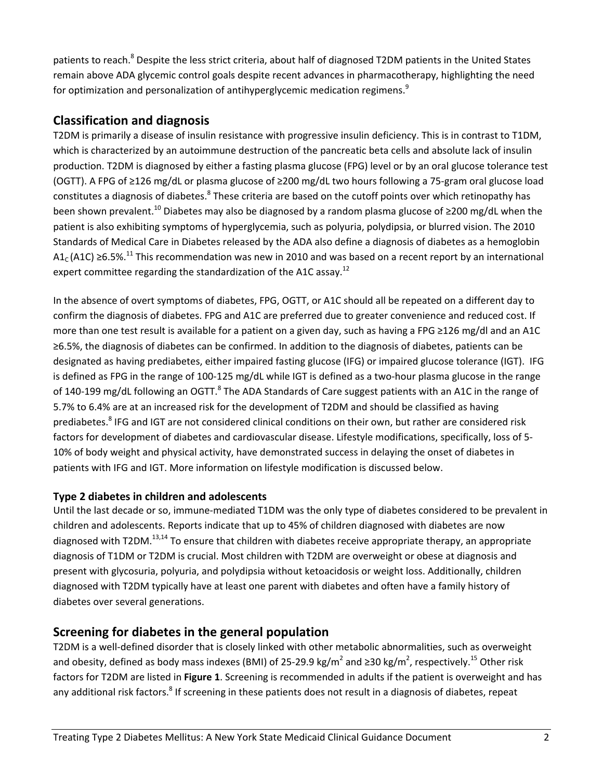patients to reach.<sup>8</sup> Despite the less strict criteria, about half of diagnosed T2DM patients in the United States remain above ADA glycemic control goals despite recent advances in pharmacotherapy, highlighting the need for optimization and personalization of antihyperglycemic medication regimens.<sup>9</sup>

# **Classification and diagnosis**

T2DM is primarily a disease of insulin resistance with progressive insulin deficiency. This is in contrast to T1DM, which is characterized by an autoimmune destruction of the pancreatic beta cells and absolute lack of insulin production. T2DM is diagnosed by either a fasting plasma glucose (FPG) level or by an oral glucose tolerance test (OGTT). A FPG of ≥126 mg/dL or plasma glucose of ≥200 mg/dL two hours following a 75‐gram oral glucose load constitutes a diagnosis of diabetes.<sup>8</sup> These criteria are based on the cutoff points over which retinopathy has been shown prevalent.<sup>10</sup> Diabetes may also be diagnosed by a random plasma glucose of ≥200 mg/dL when the patient is also exhibiting symptoms of hyperglycemia, such as polyuria, polydipsia, or blurred vision. The 2010 Standards of Medical Care in Diabetes released by the ADA also define a diagnosis of diabetes as a hemoglobin A1<sub>c</sub> (A1C) ≥6.5%.<sup>11</sup> This recommendation was new in 2010 and was based on a recent report by an international expert committee regarding the standardization of the A1C assay.<sup>12</sup>

In the absence of overt symptoms of diabetes, FPG, OGTT, or A1C should all be repeated on a different day to confirm the diagnosis of diabetes. FPG and A1C are preferred due to greater convenience and reduced cost. If more than one test result is available for a patient on a given day, such as having a FPG ≥126 mg/dl and an A1C ≥6.5%, the diagnosis of diabetes can be confirmed. In addition to the diagnosis of diabetes, patients can be designated as having prediabetes, either impaired fasting glucose (IFG) or impaired glucose tolerance (IGT). IFG is defined as FPG in the range of 100-125 mg/dL while IGT is defined as a two-hour plasma glucose in the range of 140-199 mg/dL following an OGTT.<sup>8</sup> The ADA Standards of Care suggest patients with an A1C in the range of 5.7% to 6.4% are at an increased risk for the development of T2DM and should be classified as having prediabetes.<sup>8</sup> IFG and IGT are not considered clinical conditions on their own, but rather are considered risk factors for development of diabetes and cardiovascular disease. Lifestyle modifications, specifically, loss of 5‐ 10% of body weight and physical activity, have demonstrated success in delaying the onset of diabetes in patients with IFG and IGT. More information on lifestyle modification is discussed below.

# **Type 2 diabetes in children and adolescents**

Until the last decade or so, immune‐mediated T1DM was the only type of diabetes considered to be prevalent in children and adolescents. Reports indicate that up to 45% of children diagnosed with diabetes are now diagnosed with T2DM.<sup>13,14</sup> To ensure that children with diabetes receive appropriate therapy, an appropriate diagnosis of T1DM or T2DM is crucial. Most children with T2DM are overweight or obese at diagnosis and present with glycosuria, polyuria, and polydipsia without ketoacidosis or weight loss. Additionally, children diagnosed with T2DM typically have at least one parent with diabetes and often have a family history of diabetes over several generations.

# **Screening for diabetes in the general population**

T2DM is a well‐defined disorder that is closely linked with other metabolic abnormalities, such as overweight and obesity, defined as body mass indexes (BMI) of 25-29.9 kg/m<sup>2</sup> and ≥30 kg/m<sup>2</sup>, respectively.<sup>15</sup> Other risk factors for T2DM are listed in **Figure 1**. Screening is recommended in adults if the patient is overweight and has any additional risk factors.<sup>8</sup> If screening in these patients does not result in a diagnosis of diabetes, repeat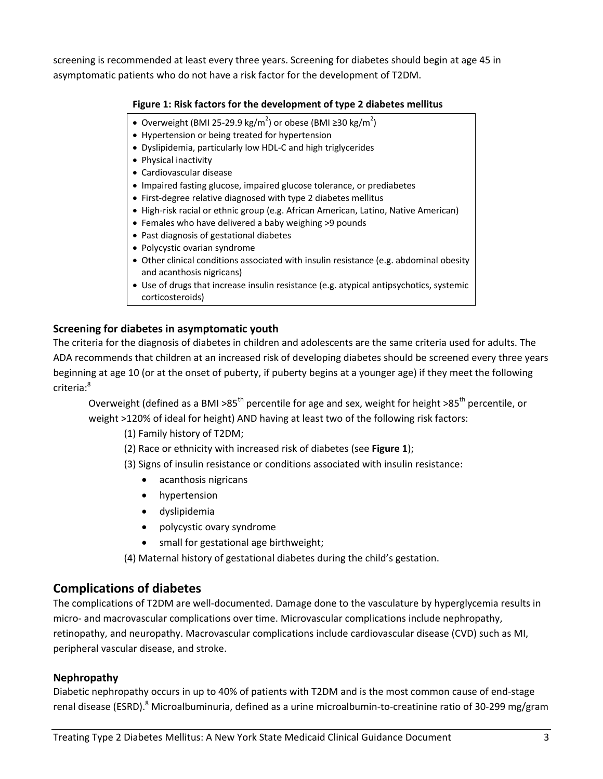screening is recommended at least every three years. Screening for diabetes should begin at age 45 in asymptomatic patients who do not have a risk factor for the development of T2DM.

### **Figure 1: Risk factors for the development of type 2 diabetes mellitus**

- Overweight (BMI 25-29.9 kg/m<sup>2</sup>) or obese (BMI ≥30 kg/m<sup>2</sup>)
- Hypertension or being treated for hypertension
- Dyslipidemia, particularly low HDL-C and high triglycerides
- Physical inactivity
- Cardiovascular disease
- Impaired fasting glucose, impaired glucose tolerance, or prediabetes
- First-degree relative diagnosed with type 2 diabetes mellitus
- High-risk racial or ethnic group (e.g. African American, Latino, Native American)
- Females who have delivered a baby weighing >9 pounds
- Past diagnosis of gestational diabetes
- Polycystic ovarian syndrome
- Other clinical conditions associated with insulin resistance (e.g. abdominal obesity and acanthosis nigricans)
- Use of drugs that increase insulin resistance (e.g. atypical antipsychotics, systemic corticosteroids)

### **Screening for diabetes in asymptomatic youth**

The criteria for the diagnosis of diabetes in children and adolescents are the same criteria used for adults. The ADA recommends that children at an increased risk of developing diabetes should be screened every three years beginning at age 10 (or at the onset of puberty, if puberty begins at a younger age) if they meet the following criteria:8

Overweight (defined as a BMI >85<sup>th</sup> percentile for age and sex, weight for height >85<sup>th</sup> percentile, or weight >120% of ideal for height) AND having at least two of the following risk factors:

(1) Family history of T2DM;

(2) Race or ethnicity with increased risk of diabetes (see **Figure 1**);

(3) Signs of insulin resistance or conditions associated with insulin resistance:

- acanthosis nigricans
- hypertension
- dyslipidemia
- polycystic ovary syndrome
- small for gestational age birthweight;

(4) Maternal history of gestational diabetes during the child's gestation.

# **Complications of diabetes**

The complications of T2DM are well‐documented. Damage done to the vasculature by hyperglycemia results in micro- and macrovascular complications over time. Microvascular complications include nephropathy, retinopathy, and neuropathy. Macrovascular complications include cardiovascular disease (CVD) such as MI, peripheral vascular disease, and stroke.

### **Nephropathy**

Diabetic nephropathy occurs in up to 40% of patients with T2DM and is the most common cause of end‐stage renal disease (ESRD).<sup>8</sup> Microalbuminuria, defined as a urine microalbumin-to-creatinine ratio of 30-299 mg/gram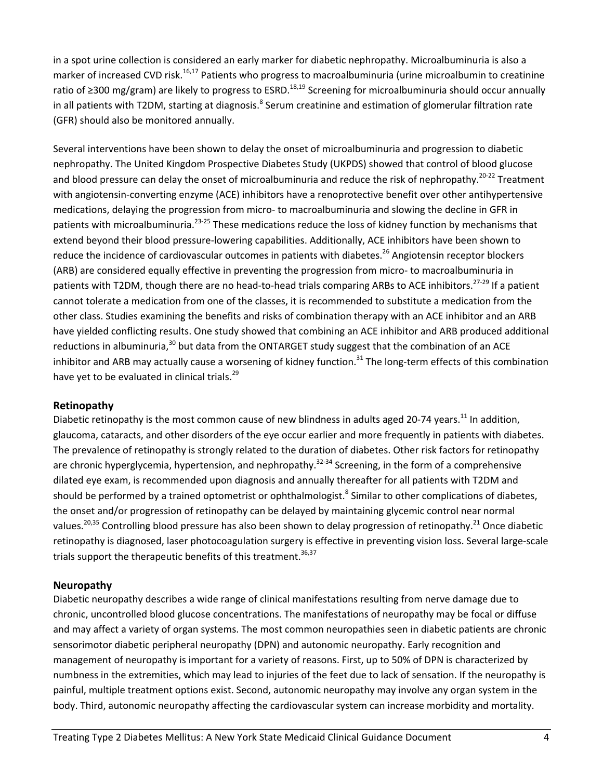in a spot urine collection is considered an early marker for diabetic nephropathy. Microalbuminuria is also a marker of increased CVD risk.<sup>16,17</sup> Patients who progress to macroalbuminuria (urine microalbumin to creatinine ratio of ≥300 mg/gram) are likely to progress to ESRD.<sup>18,19</sup> Screening for microalbuminuria should occur annually in all patients with T2DM, starting at diagnosis.<sup>8</sup> Serum creatinine and estimation of glomerular filtration rate (GFR) should also be monitored annually.

Several interventions have been shown to delay the onset of microalbuminuria and progression to diabetic nephropathy. The United Kingdom Prospective Diabetes Study (UKPDS) showed that control of blood glucose and blood pressure can delay the onset of microalbuminuria and reduce the risk of nephropathy.<sup>20-22</sup> Treatment with angiotensin-converting enzyme (ACE) inhibitors have a renoprotective benefit over other antihypertensive medications, delaying the progression from micro‐ to macroalbuminuria and slowing the decline in GFR in patients with microalbuminuria.<sup>23-25</sup> These medications reduce the loss of kidney function by mechanisms that extend beyond their blood pressure-lowering capabilities. Additionally, ACE inhibitors have been shown to reduce the incidence of cardiovascular outcomes in patients with diabetes.<sup>26</sup> Angiotensin receptor blockers (ARB) are considered equally effective in preventing the progression from micro‐ to macroalbuminuria in patients with T2DM, though there are no head-to-head trials comparing ARBs to ACE inhibitors.<sup>27-29</sup> If a patient cannot tolerate a medication from one of the classes, it is recommended to substitute a medication from the other class. Studies examining the benefits and risks of combination therapy with an ACE inhibitor and an ARB have yielded conflicting results. One study showed that combining an ACE inhibitor and ARB produced additional reductions in albuminuria,  $30$  but data from the ONTARGET study suggest that the combination of an ACE inhibitor and ARB may actually cause a worsening of kidney function.<sup>31</sup> The long-term effects of this combination have yet to be evaluated in clinical trials.<sup>29</sup>

### **Retinopathy**

Diabetic retinopathy is the most common cause of new blindness in adults aged 20-74 years.<sup>11</sup> In addition, glaucoma, cataracts, and other disorders of the eye occur earlier and more frequently in patients with diabetes. The prevalence of retinopathy is strongly related to the duration of diabetes. Other risk factors for retinopathy are chronic hyperglycemia, hypertension, and nephropathy.<sup>32-34</sup> Screening, in the form of a comprehensive dilated eye exam, is recommended upon diagnosis and annually thereafter for all patients with T2DM and should be performed by a trained optometrist or ophthalmologist.<sup>8</sup> Similar to other complications of diabetes, the onset and/or progression of retinopathy can be delayed by maintaining glycemic control near normal values.<sup>20,35</sup> Controlling blood pressure has also been shown to delay progression of retinopathy.<sup>21</sup> Once diabetic retinopathy is diagnosed, laser photocoagulation surgery is effective in preventing vision loss. Several large-scale trials support the therapeutic benefits of this treatment.  $36,37$ 

### **Neuropathy**

Diabetic neuropathy describes a wide range of clinical manifestations resulting from nerve damage due to chronic, uncontrolled blood glucose concentrations. The manifestations of neuropathy may be focal or diffuse and may affect a variety of organ systems. The most common neuropathies seen in diabetic patients are chronic sensorimotor diabetic peripheral neuropathy (DPN) and autonomic neuropathy. Early recognition and management of neuropathy is important for a variety of reasons. First, up to 50% of DPN is characterized by numbness in the extremities, which may lead to injuries of the feet due to lack of sensation. If the neuropathy is painful, multiple treatment options exist. Second, autonomic neuropathy may involve any organ system in the body. Third, autonomic neuropathy affecting the cardiovascular system can increase morbidity and mortality.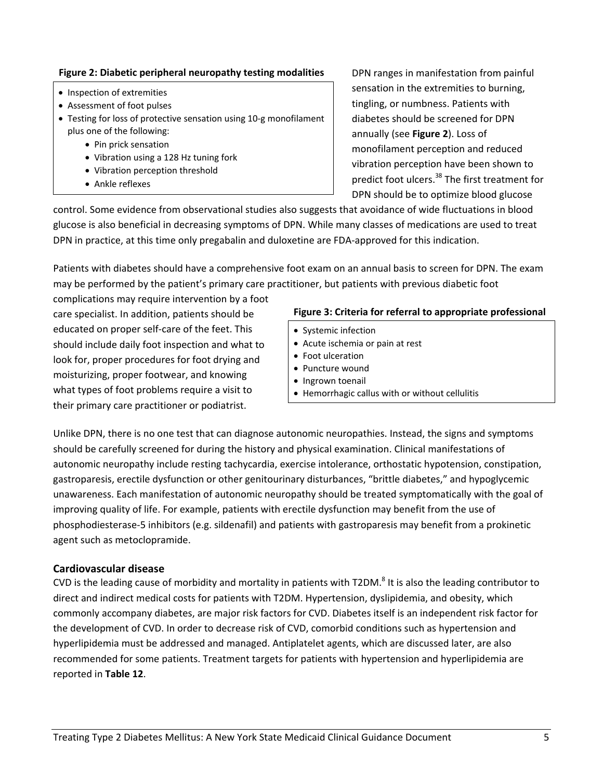### **Figure 2: Diabetic peripheral neuropathy testing modalities**

- Inspection of extremities
- Assessment of foot pulses
- Testing for loss of protective sensation using 10‐g monofilament plus one of the following:
	- Pin prick sensation
	- Vibration using a 128 Hz tuning fork
	- Vibration perception threshold
	- Ankle reflexes

DPN ranges in manifestation from painful sensation in the extremities to burning, tingling, or numbness. Patients with diabetes should be screened for DPN annually (see **Figure 2**). Loss of monofilament perception and reduced vibration perception have been shown to predict foot ulcers.<sup>38</sup> The first treatment for DPN should be to optimize blood glucose

control. Some evidence from observational studies also suggests that avoidance of wide fluctuations in blood glucose is also beneficial in decreasing symptoms of DPN. While many classes of medications are used to treat DPN in practice, at this time only pregabalin and duloxetine are FDA-approved for this indication.

Patients with diabetes should have a comprehensive foot exam on an annual basis to screen for DPN. The exam may be performed by the patient's primary care practitioner, but patients with previous diabetic foot

complications may require intervention by a foot care specialist. In addition, patients should be educated on proper self‐care of the feet. This should include daily foot inspection and what to look for, proper procedures for foot drying and moisturizing, proper footwear, and knowing what types of foot problems require a visit to their primary care practitioner or podiatrist.

### **Figure 3: Criteria for referral to appropriate professional**

- Systemic infection
- Acute ischemia or pain at rest
- Foot ulceration
- Puncture wound
- Ingrown toenail
- Hemorrhagic callus with or without cellulitis

Unlike DPN, there is no one test that can diagnose autonomic neuropathies. Instead, the signs and symptoms should be carefully screened for during the history and physical examination. Clinical manifestations of autonomic neuropathy include resting tachycardia, exercise intolerance, orthostatic hypotension, constipation, gastroparesis, erectile dysfunction or other genitourinary disturbances, "brittle diabetes," and hypoglycemic unawareness. Each manifestation of autonomic neuropathy should be treated symptomatically with the goal of improving quality of life. For example, patients with erectile dysfunction may benefit from the use of phosphodiesterase‐5 inhibitors (e.g. sildenafil) and patients with gastroparesis may benefit from a prokinetic agent such as metoclopramide.

### **Cardiovascular disease**

CVD is the leading cause of morbidity and mortality in patients with T2DM.<sup>8</sup> It is also the leading contributor to direct and indirect medical costs for patients with T2DM. Hypertension, dyslipidemia, and obesity, which commonly accompany diabetes, are major risk factors for CVD. Diabetes itself is an independent risk factor for the development of CVD. In order to decrease risk of CVD, comorbid conditions such as hypertension and hyperlipidemia must be addressed and managed. Antiplatelet agents, which are discussed later, are also recommended for some patients. Treatment targets for patients with hypertension and hyperlipidemia are reported in **Table 12**.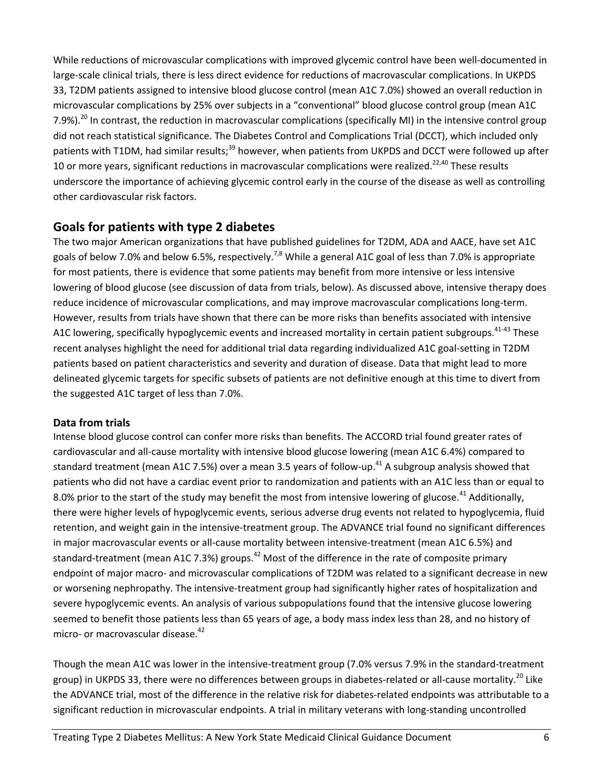While reductions of microvascular complications with improved glycemic control have been well‐documented in large-scale clinical trials, there is less direct evidence for reductions of macrovascular complications. In UKPDS 33, T2DM patients assigned to intensive blood glucose control (mean A1C 7.0%) showed an overall reduction in microvascular complications by 25% over subjects in a "conventional" blood glucose control group (mean A1C 7.9%).<sup>20</sup> In contrast, the reduction in macrovascular complications (specifically MI) in the intensive control group did not reach statistical significance. The Diabetes Control and Complications Trial (DCCT), which included only patients with T1DM, had similar results;<sup>39</sup> however, when patients from UKPDS and DCCT were followed up after 10 or more years, significant reductions in macrovascular complications were realized.<sup>22,40</sup> These results underscore the importance of achieving glycemic control early in the course of the disease as well as controlling other cardiovascular risk factors.

# **Goals for patients with type 2 diabetes**

The two major American organizations that have published guidelines for T2DM, ADA and AACE, have set A1C goals of below 7.0% and below 6.5%, respectively.<sup>7,8</sup> While a general A1C goal of less than 7.0% is appropriate for most patients, there is evidence that some patients may benefit from more intensive or less intensive lowering of blood glucose (see discussion of data from trials, below). As discussed above, intensive therapy does reduce incidence of microvascular complications, and may improve macrovascular complications long-term. However, results from trials have shown that there can be more risks than benefits associated with intensive A1C lowering, specifically hypoglycemic events and increased mortality in certain patient subgroups.<sup>41-43</sup> These recent analyses highlight the need for additional trial data regarding individualized A1C goal‐setting in T2DM patients based on patient characteristics and severity and duration of disease. Data that might lead to more delineated glycemic targets for specific subsets of patients are not definitive enough at this time to divert from the suggested A1C target of less than 7.0%.

# **Data from trials**

Intense blood glucose control can confer more risks than benefits. The ACCORD trial found greater rates of cardiovascular and all‐cause mortality with intensive blood glucose lowering (mean A1C 6.4%) compared to standard treatment (mean A1C 7.5%) over a mean 3.5 years of follow-up.<sup>41</sup> A subgroup analysis showed that patients who did not have a cardiac event prior to randomization and patients with an A1C less than or equal to 8.0% prior to the start of the study may benefit the most from intensive lowering of glucose.<sup>41</sup> Additionally, there were higher levels of hypoglycemic events, serious adverse drug events not related to hypoglycemia, fluid retention, and weight gain in the intensive-treatment group. The ADVANCE trial found no significant differences in major macrovascular events or all‐cause mortality between intensive‐treatment (mean A1C 6.5%) and standard-treatment (mean A1C 7.3%) groups.<sup>42</sup> Most of the difference in the rate of composite primary endpoint of major macro- and microvascular complications of T2DM was related to a significant decrease in new or worsening nephropathy. The intensive‐treatment group had significantly higher rates of hospitalization and severe hypoglycemic events. An analysis of various subpopulations found that the intensive glucose lowering seemed to benefit those patients less than 65 years of age, a body mass index less than 28, and no history of micro- or macrovascular disease.<sup>42</sup>

Though the mean A1C was lower in the intensive‐treatment group (7.0% versus 7.9% in the standard‐treatment group) in UKPDS 33, there were no differences between groups in diabetes-related or all-cause mortality.<sup>20</sup> Like the ADVANCE trial, most of the difference in the relative risk for diabetes‐related endpoints was attributable to a significant reduction in microvascular endpoints. A trial in military veterans with long-standing uncontrolled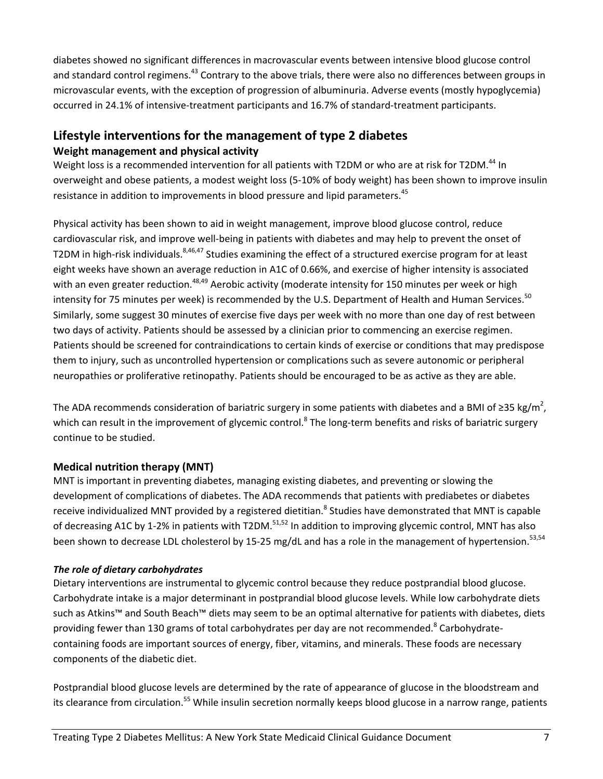diabetes showed no significant differences in macrovascular events between intensive blood glucose control and standard control regimens.<sup>43</sup> Contrary to the above trials, there were also no differences between groups in microvascular events, with the exception of progression of albuminuria. Adverse events (mostly hypoglycemia) occurred in 24.1% of intensive‐treatment participants and 16.7% of standard‐treatment participants.

# **Lifestyle interventions for the management of type 2 diabetes Weight management and physical activity**

Weight loss is a recommended intervention for all patients with T2DM or who are at risk for T2DM.<sup>44</sup> In overweight and obese patients, a modest weight loss (5‐10% of body weight) has been shown to improve insulin resistance in addition to improvements in blood pressure and lipid parameters.<sup>45</sup>

Physical activity has been shown to aid in weight management, improve blood glucose control, reduce cardiovascular risk, and improve well-being in patients with diabetes and may help to prevent the onset of T2DM in high-risk individuals.<sup>8,46,47</sup> Studies examining the effect of a structured exercise program for at least eight weeks have shown an average reduction in A1C of 0.66%, and exercise of higher intensity is associated with an even greater reduction.<sup>48,49</sup> Aerobic activity (moderate intensity for 150 minutes per week or high intensity for 75 minutes per week) is recommended by the U.S. Department of Health and Human Services.<sup>50</sup> Similarly, some suggest 30 minutes of exercise five days per week with no more than one day of rest between two days of activity. Patients should be assessed by a clinician prior to commencing an exercise regimen. Patients should be screened for contraindications to certain kinds of exercise or conditions that may predispose them to injury, such as uncontrolled hypertension or complications such as severe autonomic or peripheral neuropathies or proliferative retinopathy. Patients should be encouraged to be as active as they are able.

The ADA recommends consideration of bariatric surgery in some patients with diabetes and a BMI of ≥35 kg/m<sup>2</sup>, which can result in the improvement of glycemic control.<sup>8</sup> The long-term benefits and risks of bariatric surgery continue to be studied.

### **Medical nutrition therapy (MNT)**

MNT is important in preventing diabetes, managing existing diabetes, and preventing or slowing the development of complications of diabetes. The ADA recommends that patients with prediabetes or diabetes receive individualized MNT provided by a registered dietitian.<sup>8</sup> Studies have demonstrated that MNT is capable of decreasing A1C by 1-2% in patients with T2DM.<sup>51,52</sup> In addition to improving glycemic control, MNT has also been shown to decrease LDL cholesterol by 15-25 mg/dL and has a role in the management of hypertension.<sup>53,54</sup>

### *The role of dietary carbohydrates*

Dietary interventions are instrumental to glycemic control because they reduce postprandial blood glucose. Carbohydrate intake is a major determinant in postprandial blood glucose levels. While low carbohydrate diets such as Atkins™ and South Beach™ diets may seem to be an optimal alternative for patients with diabetes, diets providing fewer than 130 grams of total carbohydrates per day are not recommended.<sup>8</sup> Carbohydratecontaining foods are important sources of energy, fiber, vitamins, and minerals. These foods are necessary components of the diabetic diet.

Postprandial blood glucose levels are determined by the rate of appearance of glucose in the bloodstream and its clearance from circulation.<sup>55</sup> While insulin secretion normally keeps blood glucose in a narrow range, patients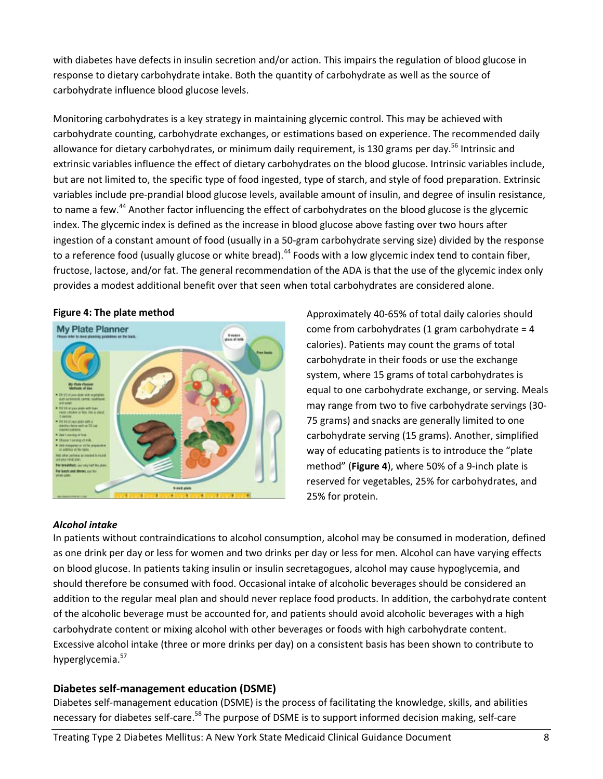with diabetes have defects in insulin secretion and/or action. This impairs the regulation of blood glucose in response to dietary carbohydrate intake. Both the quantity of carbohydrate as well as the source of carbohydrate influence blood glucose levels.

Monitoring carbohydrates is a key strategy in maintaining glycemic control. This may be achieved with carbohydrate counting, carbohydrate exchanges, or estimations based on experience. The recommended daily allowance for dietary carbohydrates, or minimum daily requirement, is 130 grams per day.<sup>56</sup> Intrinsic and extrinsic variables influence the effect of dietary carbohydrates on the blood glucose. Intrinsic variables include, but are not limited to, the specific type of food ingested, type of starch, and style of food preparation. Extrinsic variables include pre‐prandial blood glucose levels, available amount of insulin, and degree of insulin resistance, to name a few.<sup>44</sup> Another factor influencing the effect of carbohydrates on the blood glucose is the glycemic index. The glycemic index is defined as the increase in blood glucose above fasting over two hours after ingestion of a constant amount of food (usually in a 50‐gram carbohydrate serving size) divided by the response to a reference food (usually glucose or white bread).<sup>44</sup> Foods with a low glycemic index tend to contain fiber, fructose, lactose, and/or fat. The general recommendation of the ADA is that the use of the glycemic index only provides a modest additional benefit over that seen when total carbohydrates are considered alone.



### *Alcohol intake*

Approximately 40‐65% of total daily calories should come from carbohydrates (1 gram carbohydrate =  $4$ calories). Patients may count the grams of total carbohydrate in their foods or use the exchange system, where 15 grams of total carbohydrates is equal to one carbohydrate exchange, or serving. Meals may range from two to five carbohydrate servings (30‐ 75 grams) and snacks are generally limited to one carbohydrate serving (15 grams). Another, simplified way of educating patients is to introduce the "plate method" (**Figure 4**), where 50% of a 9‐inch plate is reserved for vegetables, 25% for carbohydrates, and 25% for protein.

In patients without contraindications to alcohol consumption, alcohol may be consumed in moderation, defined as one drink per day or less for women and two drinks per day or less for men. Alcohol can have varying effects on blood glucose. In patients taking insulin or insulin secretagogues, alcohol may cause hypoglycemia, and should therefore be consumed with food. Occasional intake of alcoholic beverages should be considered an addition to the regular meal plan and should never replace food products. In addition, the carbohydrate content of the alcoholic beverage must be accounted for, and patients should avoid alcoholic beverages with a high carbohydrate content or mixing alcohol with other beverages or foods with high carbohydrate content. Excessive alcohol intake (three or more drinks per day) on a consistent basis has been shown to contribute to hyperglycemia.<sup>57</sup>

### **Diabetes self‐management education (DSME)**

Diabetes self‐management education (DSME) is the process of facilitating the knowledge, skills, and abilities necessary for diabetes self-care.<sup>58</sup> The purpose of DSME is to support informed decision making, self-care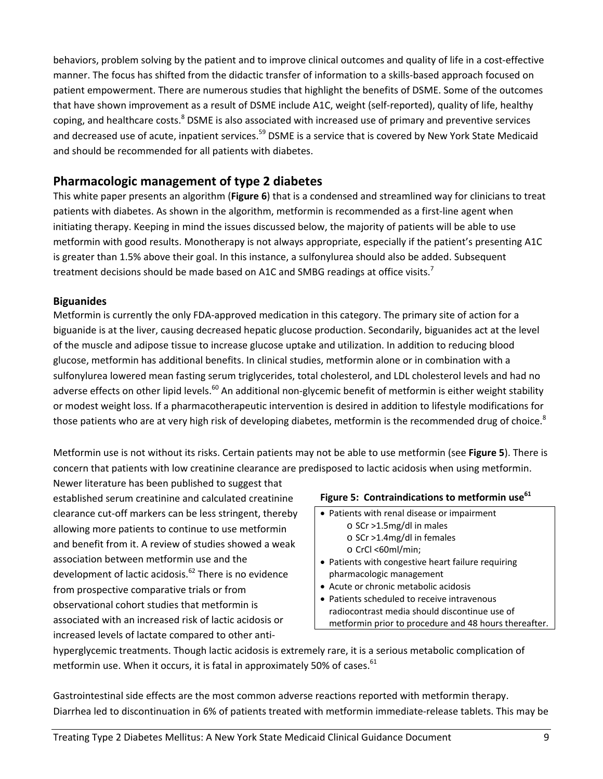behaviors, problem solving by the patient and to improve clinical outcomes and quality of life in a cost-effective manner. The focus has shifted from the didactic transfer of information to a skills‐based approach focused on patient empowerment. There are numerous studies that highlight the benefits of DSME. Some of the outcomes that have shown improvement as a result of DSME include A1C, weight (self‐reported), quality of life, healthy coping, and healthcare costs.<sup>8</sup> DSME is also associated with increased use of primary and preventive services and decreased use of acute, inpatient services.<sup>59</sup> DSME is a service that is covered by New York State Medicaid and should be recommended for all patients with diabetes.

# **Pharmacologic management of type 2 diabetes**

This white paper presents an algorithm (**Figure 6**) that is a condensed and streamlined way for clinicians to treat patients with diabetes. As shown in the algorithm, metformin is recommended as a first-line agent when initiating therapy. Keeping in mind the issues discussed below, the majority of patients will be able to use metformin with good results. Monotherapy is not always appropriate, especially if the patient's presenting A1C is greater than 1.5% above their goal. In this instance, a sulfonylurea should also be added. Subsequent treatment decisions should be made based on A1C and SMBG readings at office visits.<sup>7</sup>

### **Biguanides**

Metformin is currently the only FDA‐approved medication in this category. The primary site of action for a biguanide is at the liver, causing decreased hepatic glucose production. Secondarily, biguanides act at the level of the muscle and adipose tissue to increase glucose uptake and utilization. In addition to reducing blood glucose, metformin has additional benefits. In clinical studies, metformin alone or in combination with a sulfonylurea lowered mean fasting serum triglycerides, total cholesterol, and LDL cholesterol levels and had no adverse effects on other lipid levels.<sup>60</sup> An additional non-glycemic benefit of metformin is either weight stability or modest weight loss. If a pharmacotherapeutic intervention is desired in addition to lifestyle modifications for those patients who are at very high risk of developing diabetes, metformin is the recommended drug of choice.<sup>8</sup>

Metformin use is not without its risks. Certain patients may not be able to use metformin (see **Figure 5**). There is concern that patients with low creatinine clearance are predisposed to lactic acidosis when using metformin.

Newer literature has been published to suggest that established serum creatinine and calculated creatinine clearance cut‐off markers can be less stringent, thereby allowing more patients to continue to use metformin and benefit from it. A review of studies showed a weak association between metformin use and the development of lactic acidosis.<sup>62</sup> There is no evidence from prospective comparative trials or from observational cohort studies that metformin is associated with an increased risk of lactic acidosis or increased levels of lactate compared to other anti‐

### **Figure 5: Contraindications to metformin use<sup>61</sup>**

- Patients with renal disease or impairment
	- o SCr >1.5mg/dl in males
		- o SCr >1.4mg/dl in females
	- o CrCl <60ml/min;
- Patients with congestive heart failure requiring pharmacologic management
- Acute or chronic metabolic acidosis
- Patients scheduled to receive intravenous radiocontrast media should discontinue use of metformin prior to procedure and 48 hours thereafter.

hyperglycemic treatments. Though lactic acidosis is extremely rare, it is a serious metabolic complication of metformin use. When it occurs, it is fatal in approximately 50% of cases.<sup>61</sup>

Gastrointestinal side effects are the most common adverse reactions reported with metformin therapy. Diarrhea led to discontinuation in 6% of patients treated with metformin immediate‐release tablets. This may be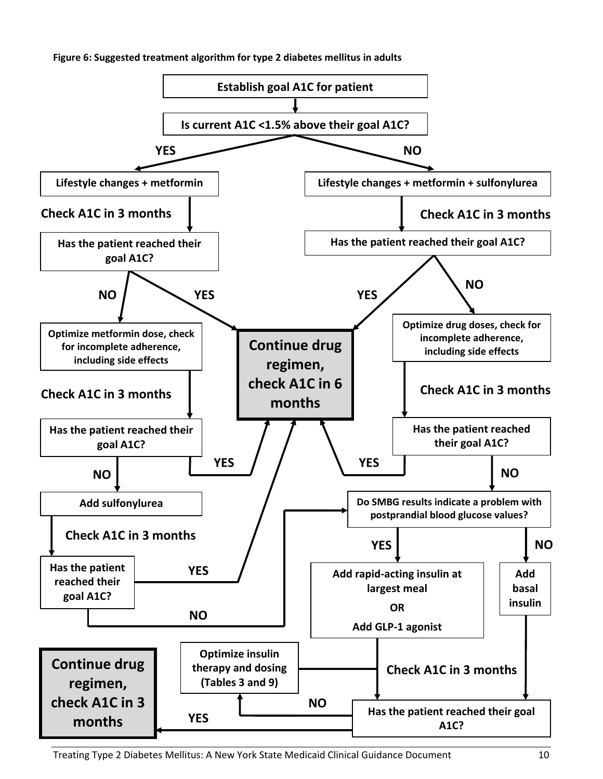**Figure 6: Suggested treatment algorithm for type 2 diabetes mellitus in adults**

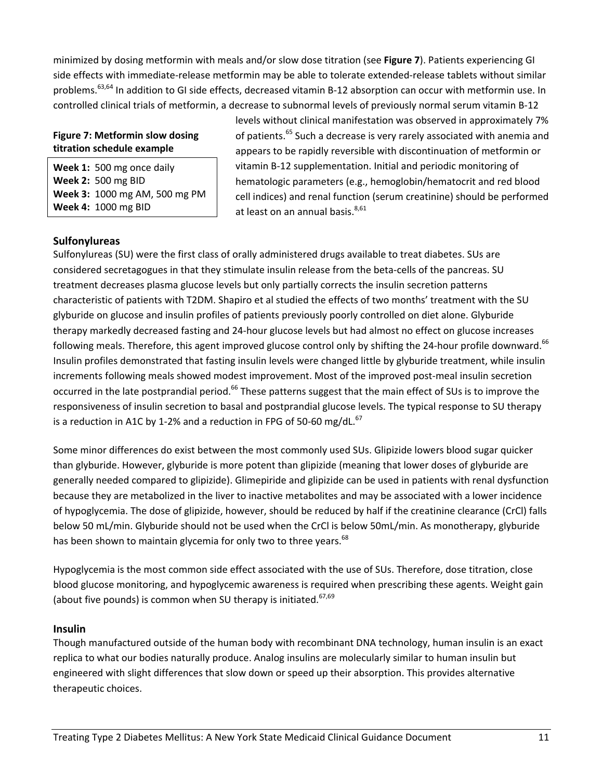minimized by dosing metformin with meals and/or slow dose titration (see **Figure 7**). Patients experiencing GI side effects with immediate‐release metformin may be able to tolerate extended‐release tablets without similar problems.<sup>63,64</sup> In addition to GI side effects, decreased vitamin B-12 absorption can occur with metformin use. In controlled clinical trials of metformin, a decrease to subnormal levels of previously normal serum vitamin B‐12

### **Figure 7: Metformin slow dosing titration schedule example**

**Week 1:** 500 mg once daily **Week 2:** 500 mg BID **Week 3:** 1000 mg AM, 500 mg PM **Week 4:** 1000 mg BID

levels without clinical manifestation was observed in approximately 7% of patients.<sup>65</sup> Such a decrease is very rarely associated with anemia and appears to be rapidly reversible with discontinuation of metformin or vitamin B‐12 supplementation. Initial and periodic monitoring of hematologic parameters (e.g., hemoglobin/hematocrit and red blood cell indices) and renal function (serum creatinine) should be performed at least on an annual basis.<sup>8,61</sup>

### **Sulfonylureas**

Sulfonylureas (SU) were the first class of orally administered drugs available to treat diabetes. SUs are considered secretagogues in that they stimulate insulin release from the beta-cells of the pancreas. SU treatment decreases plasma glucose levels but only partially corrects the insulin secretion patterns characteristic of patients with T2DM. Shapiro et al studied the effects of two months' treatment with the SU glyburide on glucose and insulin profiles of patients previously poorly controlled on diet alone. Glyburide therapy markedly decreased fasting and 24‐hour glucose levels but had almost no effect on glucose increases following meals. Therefore, this agent improved glucose control only by shifting the 24-hour profile downward.<sup>66</sup> Insulin profiles demonstrated that fasting insulin levels were changed little by glyburide treatment, while insulin increments following meals showed modest improvement. Most of the improved post-meal insulin secretion occurred in the late postprandial period.<sup>66</sup> These patterns suggest that the main effect of SUs is to improve the responsiveness of insulin secretion to basal and postprandial glucose levels. The typical response to SU therapy is a reduction in A1C by 1-2% and a reduction in FPG of 50-60 mg/dL. $^{67}$ 

Some minor differences do exist between the most commonly used SUs. Glipizide lowers blood sugar quicker than glyburide. However, glyburide is more potent than glipizide (meaning that lower doses of glyburide are generally needed compared to glipizide). Glimepiride and glipizide can be used in patients with renal dysfunction because they are metabolized in the liver to inactive metabolites and may be associated with a lower incidence of hypoglycemia. The dose of glipizide, however, should be reduced by half if the creatinine clearance (CrCl) falls below 50 mL/min. Glyburide should not be used when the CrCl is below 50mL/min. As monotherapy, glyburide has been shown to maintain glycemia for only two to three years.<sup>68</sup>

Hypoglycemia is the most common side effect associated with the use of SUs. Therefore, dose titration, close blood glucose monitoring, and hypoglycemic awareness is required when prescribing these agents. Weight gain (about five pounds) is common when SU therapy is initiated.<sup>67,69</sup>

### **Insulin**

Though manufactured outside of the human body with recombinant DNA technology, human insulin is an exact replica to what our bodies naturally produce. Analog insulins are molecularly similar to human insulin but engineered with slight differences that slow down or speed up their absorption. This provides alternative therapeutic choices.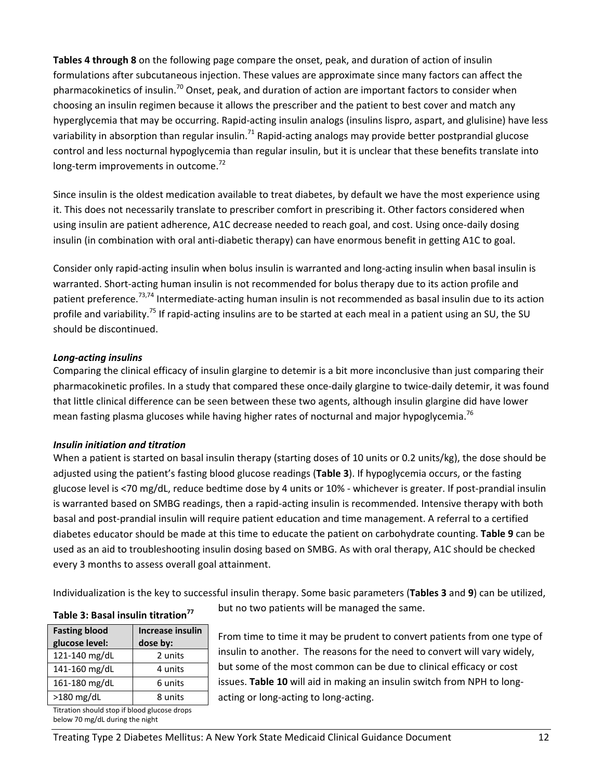**Tables 4 through 8** on the following page compare the onset, peak, and duration of action of insulin formulations after subcutaneous injection. These values are approximate since many factors can affect the pharmacokinetics of insulin.<sup>70</sup> Onset, peak, and duration of action are important factors to consider when choosing an insulin regimen because it allows the prescriber and the patient to best cover and match any hyperglycemia that may be occurring. Rapid‐acting insulin analogs (insulins lispro, aspart, and glulisine) have less variability in absorption than regular insulin.<sup>71</sup> Rapid-acting analogs may provide better postprandial glucose control and less nocturnal hypoglycemia than regular insulin, but it is unclear that these benefits translate into long-term improvements in outcome.<sup>72</sup>

Since insulin is the oldest medication available to treat diabetes, by default we have the most experience using it. This does not necessarily translate to prescriber comfort in prescribing it. Other factors considered when using insulin are patient adherence, A1C decrease needed to reach goal, and cost. Using once‐daily dosing insulin (in combination with oral anti‐diabetic therapy) can have enormous benefit in getting A1C to goal.

Consider only rapid-acting insulin when bolus insulin is warranted and long-acting insulin when basal insulin is warranted. Short-acting human insulin is not recommended for bolus therapy due to its action profile and patient preference.<sup>73,74</sup> Intermediate-acting human insulin is not recommended as basal insulin due to its action profile and variability.<sup>75</sup> If rapid-acting insulins are to be started at each meal in a patient using an SU, the SU should be discontinued.

### *Long‐acting insulins*

Comparing the clinical efficacy of insulin glargine to detemir is a bit more inconclusive than just comparing their pharmacokinetic profiles. In a study that compared these once‐daily glargine to twice‐daily detemir, it was found that little clinical difference can be seen between these two agents, although insulin glargine did have lower mean fasting plasma glucoses while having higher rates of nocturnal and major hypoglycemia.<sup>76</sup>

### *Insulin initiation and titration*

When a patient is started on basal insulin therapy (starting doses of 10 units or 0.2 units/kg), the dose should be adjusted using the patient's fasting blood glucose readings (**Table 3**). If hypoglycemia occurs, or the fasting glucose level is <70 mg/dL, reduce bedtime dose by 4 units or 10% - whichever is greater. If post-prandial insulin is warranted based on SMBG readings, then a rapid-acting insulin is recommended. Intensive therapy with both basal and post‐prandial insulin will require patient education and time management. A referral to a certified diabetes educator should be made at this time to educate the patient on carbohydrate counting. **Table 9** can be used as an aid to troubleshooting insulin dosing based on SMBG. As with oral therapy, A1C should be checked every 3 months to assess overall goal attainment.

Individualization is the key to successful insulin therapy. Some basic parameters (**Tables 3** and **9**) can be utilized,

### **Table 3: Basal insulin titration77**

| <b>Fasting blood</b> | Increase insulin |
|----------------------|------------------|
| glucose level:       | dose by:         |
| 121-140 mg/dL        | 2 units          |
| 141-160 mg/dL        | 4 units          |
| 161-180 mg/dL        | 6 units          |
| $>180$ mg/dL         | 8 units          |
|                      |                  |

Titration should stop if blood glucose drops below 70 mg/dL during the night

but no two patients will be managed the same.

From time to time it may be prudent to convert patients from one type of insulin to another. The reasons for the need to convert will vary widely, but some of the most common can be due to clinical efficacy or cost issues. **Table 10** will aid in making an insulin switch from NPH to long‐ acting or long‐acting to long‐acting.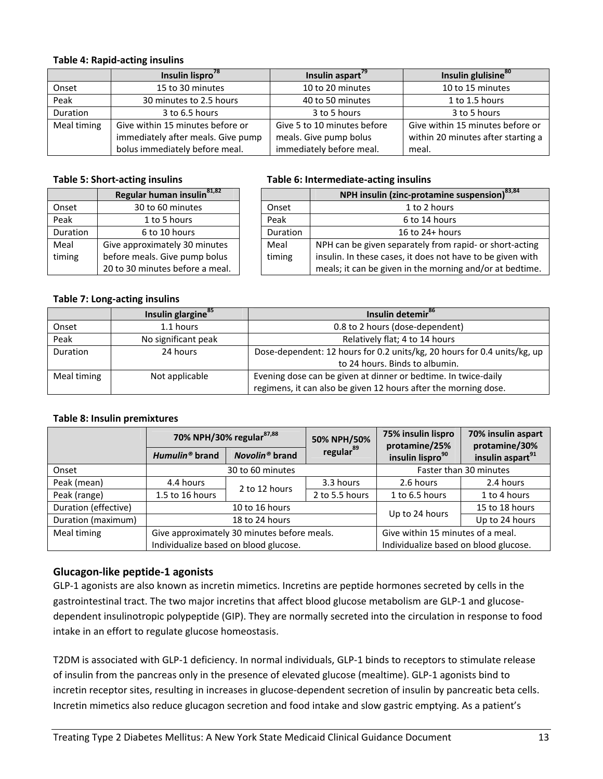### **Table 4: Rapid‐acting insulins**

|             | Insulin lispro <sup>78</sup>       | Insulin aspart <sup>79</sup> | Insulin glulisine <sup>80</sup>    |
|-------------|------------------------------------|------------------------------|------------------------------------|
| Onset       | 15 to 30 minutes                   | 10 to 20 minutes             | 10 to 15 minutes                   |
| Peak        | 30 minutes to 2.5 hours            | 40 to 50 minutes             | 1 to 1.5 hours                     |
| Duration    | 3 to 6.5 hours                     | 3 to 5 hours                 | 3 to 5 hours                       |
| Meal timing | Give within 15 minutes before or   | Give 5 to 10 minutes before  | Give within 15 minutes before or   |
|             | immediately after meals. Give pump | meals. Give pump bolus       | within 20 minutes after starting a |
|             | bolus immediately before meal.     | immediately before meal.     | meal.                              |

|          | Regular human insulin <sup>81,82</sup> |                 | <b>NPH insulin (zinc-protamine</b>     |
|----------|----------------------------------------|-----------------|----------------------------------------|
| Onset    | 30 to 60 minutes                       | Onset           | 1 to 2 hours                           |
| Peak     | 1 to 5 hours                           | Peak            | 6 to 14 hours                          |
| Duration | 6 to 10 hours                          | <b>Duration</b> | 16 to 24+ hou                          |
| Meal     | Give approximately 30 minutes          | Meal            | NPH can be given separately from       |
| timing   | before meals. Give pump bolus          | timing          | insulin. In these cases, it does not I |
|          | 20 to 30 minutes before a meal.        |                 | meals; it can be given in the morni    |

### **Table 5: Short‐acting insulins Table 6: Intermediate‐acting insulins**

|          | Regular human insulin <sup>81,82</sup> |          | NPH insulin (zinc-protamine suspension) <sup>83,84</sup>   |
|----------|----------------------------------------|----------|------------------------------------------------------------|
| Onset    | 30 to 60 minutes                       | Onset    | 1 to 2 hours                                               |
| Peak     | 1 to 5 hours                           | Peak     | 6 to 14 hours                                              |
| Duration | 6 to 10 hours                          | Duration | 16 to $24+$ hours                                          |
| Meal     | Give approximately 30 minutes          | Meal     | NPH can be given separately from rapid- or short-acting    |
| timing   | before meals. Give pump bolus          | timing   | insulin. In these cases, it does not have to be given with |
|          | 20 to 30 minutes before a meal.        |          | meals; it can be given in the morning and/or at bedtime.   |

### **Table 7: Long‐acting insulins**

|             | Insulin glargine <sup>85</sup> | Insulin detemir <sup>86</sup>                                            |
|-------------|--------------------------------|--------------------------------------------------------------------------|
| Onset       | 1.1 hours                      | 0.8 to 2 hours (dose-dependent)                                          |
| Peak        | No significant peak            | Relatively flat; 4 to 14 hours                                           |
| Duration    | 24 hours                       | Dose-dependent: 12 hours for 0.2 units/kg, 20 hours for 0.4 units/kg, up |
|             |                                | to 24 hours. Binds to albumin.                                           |
| Meal timing | Not applicable                 | Evening dose can be given at dinner or bedtime. In twice-daily           |
|             |                                | regimens, it can also be given 12 hours after the morning dose.          |

### **Table 8: Insulin premixtures**

|                      | 70% NPH/30% regular <sup>87,88</sup>        |                            | 50% NPH/50%           | 75% insulin lispro<br>protamine/25%   | 70% insulin aspart<br>protamine/30% |
|----------------------|---------------------------------------------|----------------------------|-----------------------|---------------------------------------|-------------------------------------|
|                      | Humulin <sup>®</sup> brand                  | Novolin <sup>®</sup> brand | regular <sup>89</sup> | insulin lispro <sup>90</sup>          | insulin aspart <sup>91</sup>        |
| Onset                |                                             | 30 to 60 minutes           |                       |                                       | Faster than 30 minutes              |
| Peak (mean)          | 4.4 hours                                   | 2 to 12 hours              | 3.3 hours             | 2.6 hours                             | 2.4 hours                           |
| Peak (range)         | 1.5 to 16 hours                             |                            | 2 to 5.5 hours        | 1 to 6.5 hours                        | 1 to 4 hours                        |
| Duration (effective) | 10 to 16 hours                              |                            |                       | Up to 24 hours                        | 15 to 18 hours                      |
| Duration (maximum)   |                                             | 18 to 24 hours             |                       |                                       | Up to 24 hours                      |
| Meal timing          | Give approximately 30 minutes before meals. |                            |                       | Give within 15 minutes of a meal.     |                                     |
|                      | Individualize based on blood glucose.       |                            |                       | Individualize based on blood glucose. |                                     |

### **Glucagon‐like peptide‐1 agonists**

GLP-1 agonists are also known as incretin mimetics. Incretins are peptide hormones secreted by cells in the gastrointestinal tract. The two major incretins that affect blood glucose metabolism are GLP‐1 and glucose‐ dependent insulinotropic polypeptide (GIP). They are normally secreted into the circulation in response to food intake in an effort to regulate glucose homeostasis.

T2DM is associated with GLP‐1 deficiency. In normal individuals, GLP‐1 binds to receptors to stimulate release of insulin from the pancreas only in the presence of elevated glucose (mealtime). GLP‐1 agonists bind to incretin receptor sites, resulting in increases in glucose‐dependent secretion of insulin by pancreatic beta cells. Incretin mimetics also reduce glucagon secretion and food intake and slow gastric emptying. As a patient's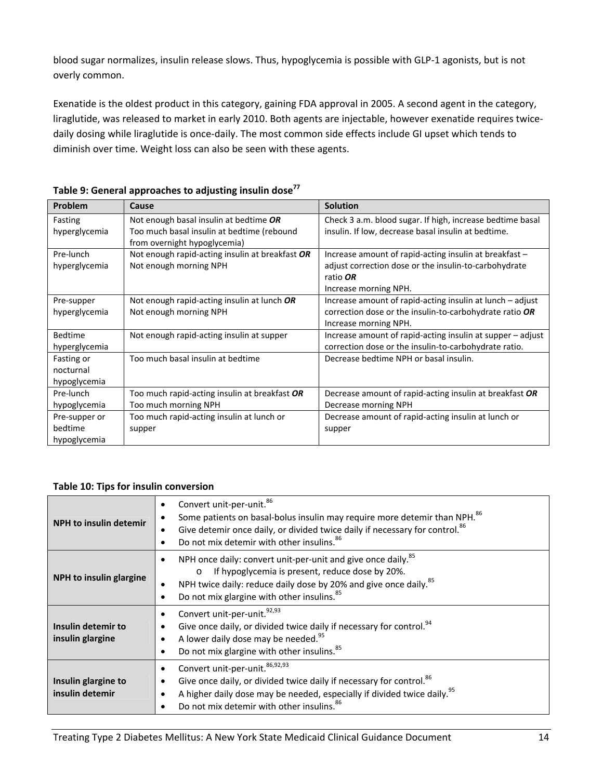blood sugar normalizes, insulin release slows. Thus, hypoglycemia is possible with GLP‐1 agonists, but is not overly common.

Exenatide is the oldest product in this category, gaining FDA approval in 2005. A second agent in the category, liraglutide, was released to market in early 2010. Both agents are injectable, however exenatide requires twice‐ daily dosing while liraglutide is once-daily. The most common side effects include GI upset which tends to diminish over time. Weight loss can also be seen with these agents.

| Problem        | Cause                                                                      | <b>Solution</b>                                            |
|----------------|----------------------------------------------------------------------------|------------------------------------------------------------|
| Fasting        | Not enough basal insulin at bedtime OR                                     | Check 3 a.m. blood sugar. If high, increase bedtime basal  |
| hyperglycemia  | Too much basal insulin at bedtime (rebound<br>from overnight hypoglycemia) | insulin. If low, decrease basal insulin at bedtime.        |
| Pre-lunch      | Not enough rapid-acting insulin at breakfast OR                            | Increase amount of rapid-acting insulin at breakfast -     |
| hyperglycemia  | Not enough morning NPH                                                     | adjust correction dose or the insulin-to-carbohydrate      |
|                |                                                                            | ratio OR                                                   |
|                |                                                                            | Increase morning NPH.                                      |
| Pre-supper     | Not enough rapid-acting insulin at lunch OR                                | Increase amount of rapid-acting insulin at lunch – adjust  |
| hyperglycemia  | Not enough morning NPH                                                     | correction dose or the insulin-to-carbohydrate ratio OR    |
|                |                                                                            | Increase morning NPH.                                      |
| <b>Bedtime</b> | Not enough rapid-acting insulin at supper                                  | Increase amount of rapid-acting insulin at supper - adjust |
| hyperglycemia  |                                                                            | correction dose or the insulin-to-carbohydrate ratio.      |
| Fasting or     | Too much basal insulin at bedtime                                          | Decrease bedtime NPH or basal insulin.                     |
| nocturnal      |                                                                            |                                                            |
| hypoglycemia   |                                                                            |                                                            |
| Pre-lunch      | Too much rapid-acting insulin at breakfast OR                              | Decrease amount of rapid-acting insulin at breakfast OR    |
| hypoglycemia   | Too much morning NPH                                                       | Decrease morning NPH                                       |
| Pre-supper or  | Too much rapid-acting insulin at lunch or                                  | Decrease amount of rapid-acting insulin at lunch or        |
| bedtime        | supper                                                                     | supper                                                     |
| hypoglycemia   |                                                                            |                                                            |

### **Table 9: General approaches to adjusting insulin dose<sup>77</sup>**

### **Table 10: Tips for insulin conversion**

| <b>NPH</b> to insulin detemir          | Convert unit-per-unit. <sup>86</sup><br>$\bullet$<br>Some patients on basal-bolus insulin may require more detemir than NPH. <sup>86</sup><br>Give detemir once daily, or divided twice daily if necessary for control. <sup>86</sup><br>٠<br>Do not mix detemir with other insulins. <sup>86</sup><br>$\bullet$ |
|----------------------------------------|------------------------------------------------------------------------------------------------------------------------------------------------------------------------------------------------------------------------------------------------------------------------------------------------------------------|
| NPH to insulin glargine                | NPH once daily: convert unit-per-unit and give once daily. <sup>85</sup><br>٠<br>If hypoglycemia is present, reduce dose by 20%.<br>$\circ$<br>NPH twice daily: reduce daily dose by 20% and give once daily. 85<br>٠<br>Do not mix glargine with other insulins. <sup>85</sup><br>$\bullet$                     |
| Insulin detemir to<br>insulin glargine | Convert unit-per-unit. <sup>92,93</sup><br>$\bullet$<br>Give once daily, or divided twice daily if necessary for control. <sup>94</sup><br>٠<br>A lower daily dose may be needed. <sup>95</sup><br>Do not mix glargine with other insulins. <sup>85</sup>                                                        |
| Insulin glargine to<br>insulin detemir | Convert unit-per-unit. 86,92,93<br>$\bullet$<br>Give once daily, or divided twice daily if necessary for control. <sup>86</sup><br>٠<br>A higher daily dose may be needed, especially if divided twice daily. <sup>95</sup><br>Do not mix detemir with other insulins. <sup>86</sup><br>٠                        |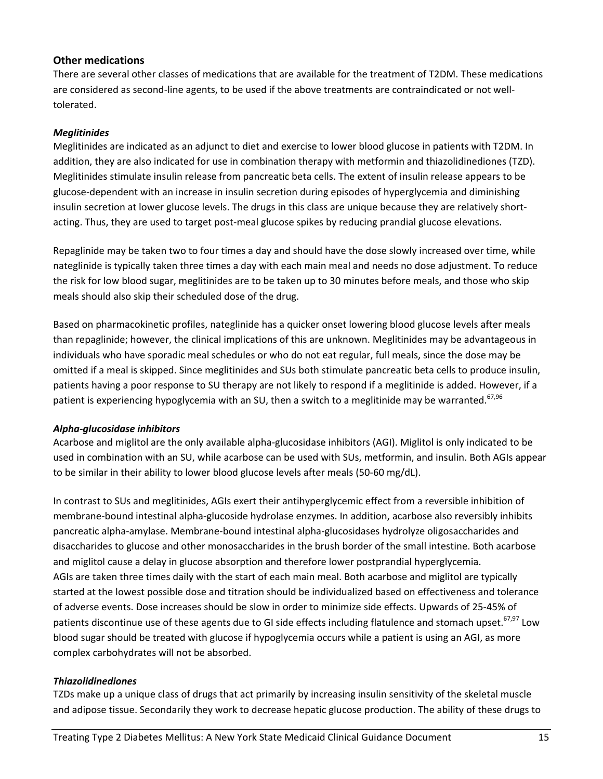### **Other medications**

There are several other classes of medications that are available for the treatment of T2DM. These medications are considered as second-line agents, to be used if the above treatments are contraindicated or not welltolerated.

### *Meglitinides*

Meglitinides are indicated as an adjunct to diet and exercise to lower blood glucose in patients with T2DM. In addition, they are also indicated for use in combination therapy with metformin and thiazolidinediones (TZD). Meglitinides stimulate insulin release from pancreatic beta cells. The extent of insulin release appears to be glucose‐dependent with an increase in insulin secretion during episodes of hyperglycemia and diminishing insulin secretion at lower glucose levels. The drugs in this class are unique because they are relatively short‐ acting. Thus, they are used to target post‐meal glucose spikes by reducing prandial glucose elevations.

Repaglinide may be taken two to four times a day and should have the dose slowly increased over time, while nateglinide is typically taken three times a day with each main meal and needs no dose adjustment. To reduce the risk for low blood sugar, meglitinides are to be taken up to 30 minutes before meals, and those who skip meals should also skip their scheduled dose of the drug.

Based on pharmacokinetic profiles, nateglinide has a quicker onset lowering blood glucose levels after meals than repaglinide; however, the clinical implications of this are unknown. Meglitinides may be advantageous in individuals who have sporadic meal schedules or who do not eat regular, full meals, since the dose may be omitted if a meal is skipped. Since meglitinides and SUs both stimulate pancreatic beta cells to produce insulin, patients having a poor response to SU therapy are not likely to respond if a meglitinide is added. However, if a patient is experiencing hypoglycemia with an SU, then a switch to a meglitinide may be warranted.<sup>67,96</sup>

### *Alpha‐glucosidase inhibitors*

Acarbose and miglitol are the only available alpha‐glucosidase inhibitors (AGI). Miglitol is only indicated to be used in combination with an SU, while acarbose can be used with SUs, metformin, and insulin. Both AGIs appear to be similar in their ability to lower blood glucose levels after meals (50‐60 mg/dL).

In contrast to SUs and meglitinides, AGIs exert their antihyperglycemic effect from a reversible inhibition of membrane‐bound intestinal alpha‐glucoside hydrolase enzymes. In addition, acarbose also reversibly inhibits pancreatic alpha‐amylase. Membrane‐bound intestinal alpha‐glucosidases hydrolyze oligosaccharides and disaccharides to glucose and other monosaccharides in the brush border of the small intestine. Both acarbose and miglitol cause a delay in glucose absorption and therefore lower postprandial hyperglycemia. AGIs are taken three times daily with the start of each main meal. Both acarbose and miglitol are typically started at the lowest possible dose and titration should be individualized based on effectiveness and tolerance of adverse events. Dose increases should be slow in order to minimize side effects. Upwards of 25‐45% of patients discontinue use of these agents due to GI side effects including flatulence and stomach upset.<sup>67,97</sup> Low blood sugar should be treated with glucose if hypoglycemia occurs while a patient is using an AGI, as more complex carbohydrates will not be absorbed.

### *Thiazolidinediones*

TZDs make up a unique class of drugs that act primarily by increasing insulin sensitivity of the skeletal muscle and adipose tissue. Secondarily they work to decrease hepatic glucose production. The ability of these drugs to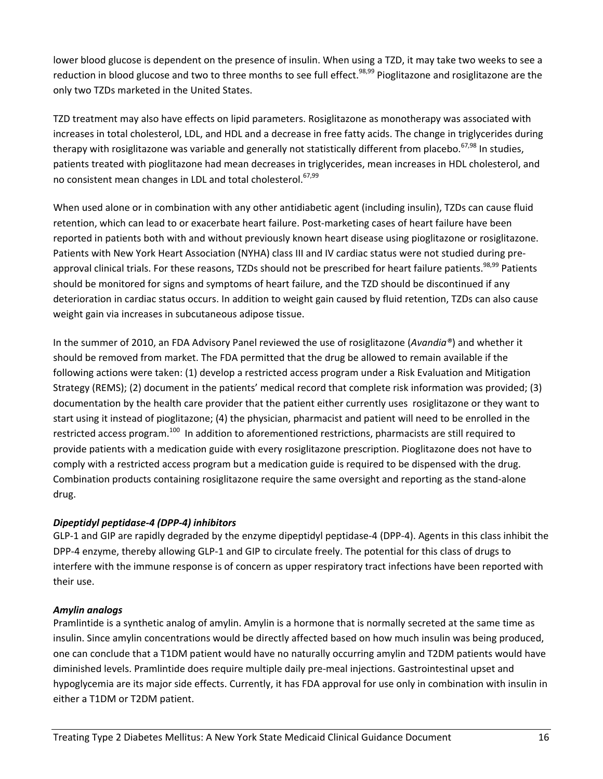lower blood glucose is dependent on the presence of insulin. When using a TZD, it may take two weeks to see a reduction in blood glucose and two to three months to see full effect.<sup>98,99</sup> Pioglitazone and rosiglitazone are the only two TZDs marketed in the United States.

TZD treatment may also have effects on lipid parameters. Rosiglitazone as monotherapy was associated with increases in total cholesterol, LDL, and HDL and a decrease in free fatty acids. The change in triglycerides during therapy with rosiglitazone was variable and generally not statistically different from placebo.<sup>67,98</sup> In studies, patients treated with pioglitazone had mean decreases in triglycerides, mean increases in HDL cholesterol, and no consistent mean changes in LDL and total cholesterol.<sup>67,99</sup>

When used alone or in combination with any other antidiabetic agent (including insulin), TZDs can cause fluid retention, which can lead to or exacerbate heart failure. Post-marketing cases of heart failure have been reported in patients both with and without previously known heart disease using pioglitazone or rosiglitazone. Patients with New York Heart Association (NYHA) class III and IV cardiac status were not studied during pre‐ approval clinical trials. For these reasons, TZDs should not be prescribed for heart failure patients.<sup>98,99</sup> Patients should be monitored for signs and symptoms of heart failure, and the TZD should be discontinued if any deterioration in cardiac status occurs. In addition to weight gain caused by fluid retention, TZDs can also cause weight gain via increases in subcutaneous adipose tissue.

In the summer of 2010, an FDA Advisory Panel reviewed the use of rosiglitazone (*Avandia®*) and whether it should be removed from market. The FDA permitted that the drug be allowed to remain available if the following actions were taken: (1) develop a restricted access program under a Risk Evaluation and Mitigation Strategy (REMS); (2) document in the patients' medical record that complete risk information was provided; (3) documentation by the health care provider that the patient either currently uses rosiglitazone or they want to start using it instead of pioglitazone; (4) the physician, pharmacist and patient will need to be enrolled in the restricted access program.<sup>100</sup> In addition to aforementioned restrictions, pharmacists are still required to provide patients with a medication guide with every rosiglitazone prescription. Pioglitazone does not have to comply with a restricted access program but a medication guide is required to be dispensed with the drug. Combination products containing rosiglitazone require the same oversight and reporting as the stand‐alone drug.

### *Dipeptidyl peptidase‐4 (DPP‐4) inhibitors*

GLP-1 and GIP are rapidly degraded by the enzyme dipeptidyl peptidase-4 (DPP-4). Agents in this class inhibit the DPP-4 enzyme, thereby allowing GLP-1 and GIP to circulate freely. The potential for this class of drugs to interfere with the immune response is of concern as upper respiratory tract infections have been reported with their use.

### *Amylin analogs*

Pramlintide is a synthetic analog of amylin. Amylin is a hormone that is normally secreted at the same time as insulin. Since amylin concentrations would be directly affected based on how much insulin was being produced, one can conclude that a T1DM patient would have no naturally occurring amylin and T2DM patients would have diminished levels. Pramlintide does require multiple daily pre‐meal injections. Gastrointestinal upset and hypoglycemia are its major side effects. Currently, it has FDA approval for use only in combination with insulin in either a T1DM or T2DM patient.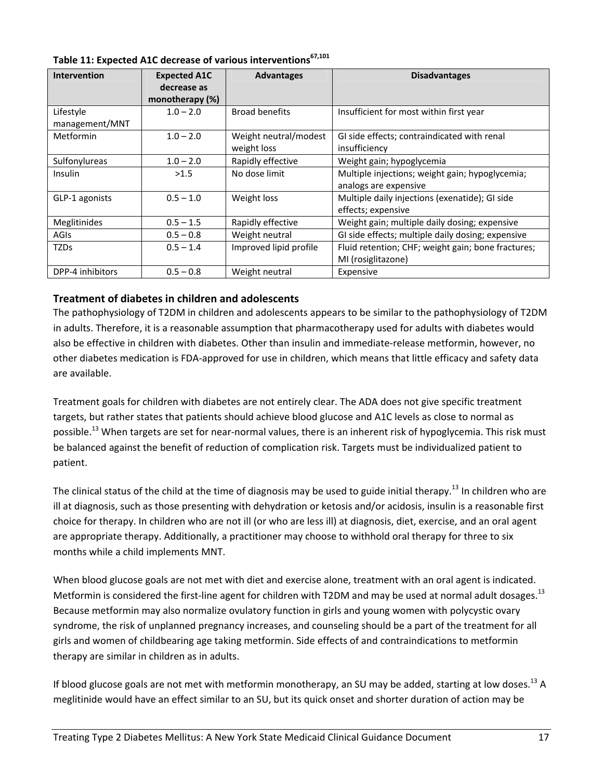| <b>Intervention</b> | <b>Expected A1C</b> | <b>Advantages</b>      | <b>Disadvantages</b>                               |
|---------------------|---------------------|------------------------|----------------------------------------------------|
|                     | decrease as         |                        |                                                    |
|                     | monotherapy (%)     |                        |                                                    |
| Lifestyle           | $1.0 - 2.0$         | <b>Broad benefits</b>  | Insufficient for most within first year            |
| management/MNT      |                     |                        |                                                    |
| Metformin           | $1.0 - 2.0$         | Weight neutral/modest  | GI side effects; contraindicated with renal        |
|                     |                     | weight loss            | insufficiency                                      |
| Sulfonylureas       | $1.0 - 2.0$         | Rapidly effective      | Weight gain; hypoglycemia                          |
| Insulin             | >1.5                | No dose limit          | Multiple injections; weight gain; hypoglycemia;    |
|                     |                     |                        | analogs are expensive                              |
| GLP-1 agonists      | $0.5 - 1.0$         | Weight loss            | Multiple daily injections (exenatide); GI side     |
|                     |                     |                        | effects; expensive                                 |
| Meglitinides        | $0.5 - 1.5$         | Rapidly effective      | Weight gain; multiple daily dosing; expensive      |
| <b>AGIS</b>         | $0.5 - 0.8$         | Weight neutral         | GI side effects; multiple daily dosing; expensive  |
| <b>TZDs</b>         | $0.5 - 1.4$         | Improved lipid profile | Fluid retention; CHF; weight gain; bone fractures; |
|                     |                     |                        | MI (rosiglitazone)                                 |
| DPP-4 inhibitors    | $0.5 - 0.8$         | Weight neutral         | Expensive                                          |

**Table 11: Expected A1C decrease of various interventions67,101**

### **Treatment of diabetes in children and adolescents**

The pathophysiology of T2DM in children and adolescents appears to be similar to the pathophysiology of T2DM in adults. Therefore, it is a reasonable assumption that pharmacotherapy used for adults with diabetes would also be effective in children with diabetes. Other than insulin and immediate‐release metformin, however, no other diabetes medication is FDA‐approved for use in children, which means that little efficacy and safety data are available.

Treatment goals for children with diabetes are not entirely clear. The ADA does not give specific treatment targets, but rather states that patients should achieve blood glucose and A1C levels as close to normal as possible.<sup>13</sup> When targets are set for near-normal values, there is an inherent risk of hypoglycemia. This risk must be balanced against the benefit of reduction of complication risk. Targets must be individualized patient to patient.

The clinical status of the child at the time of diagnosis may be used to guide initial therapy.<sup>13</sup> In children who are ill at diagnosis, such as those presenting with dehydration or ketosis and/or acidosis, insulin is a reasonable first choice for therapy. In children who are not ill (or who are less ill) at diagnosis, diet, exercise, and an oral agent are appropriate therapy. Additionally, a practitioner may choose to withhold oral therapy for three to six months while a child implements MNT.

When blood glucose goals are not met with diet and exercise alone, treatment with an oral agent is indicated. Metformin is considered the first-line agent for children with T2DM and may be used at normal adult dosages.<sup>13</sup> Because metformin may also normalize ovulatory function in girls and young women with polycystic ovary syndrome, the risk of unplanned pregnancy increases, and counseling should be a part of the treatment for all girls and women of childbearing age taking metformin. Side effects of and contraindications to metformin therapy are similar in children as in adults.

If blood glucose goals are not met with metformin monotherapy, an SU may be added, starting at low doses.<sup>13</sup> A meglitinide would have an effect similar to an SU, but its quick onset and shorter duration of action may be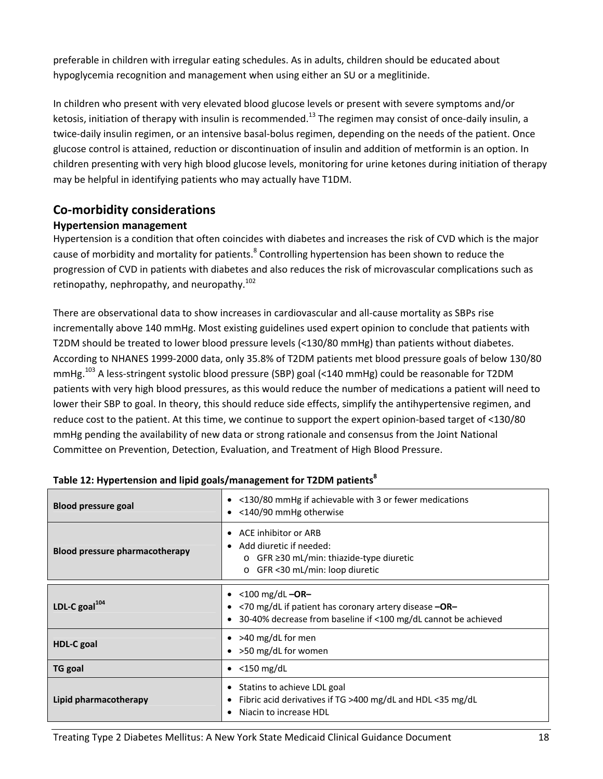preferable in children with irregular eating schedules. As in adults, children should be educated about hypoglycemia recognition and management when using either an SU or a meglitinide.

In children who present with very elevated blood glucose levels or present with severe symptoms and/or ketosis, initiation of therapy with insulin is recommended.<sup>13</sup> The regimen may consist of once-daily insulin, a twice‐daily insulin regimen, or an intensive basal‐bolus regimen, depending on the needs of the patient. Once glucose control is attained, reduction or discontinuation of insulin and addition of metformin is an option. In children presenting with very high blood glucose levels, monitoring for urine ketones during initiation of therapy may be helpful in identifying patients who may actually have T1DM.

# **Co‐morbidity considerations**

### **Hypertension management**

Hypertension is a condition that often coincides with diabetes and increases the risk of CVD which is the major cause of morbidity and mortality for patients.<sup>8</sup> Controlling hypertension has been shown to reduce the progression of CVD in patients with diabetes and also reduces the risk of microvascular complications such as retinopathy, nephropathy, and neuropathy.<sup>102</sup>

There are observational data to show increases in cardiovascular and all‐cause mortality as SBPs rise incrementally above 140 mmHg. Most existing guidelines used expert opinion to conclude that patients with T2DM should be treated to lower blood pressure levels (<130/80 mmHg) than patients without diabetes. According to NHANES 1999‐2000 data, only 35.8% of T2DM patients met blood pressure goals of below 130/80 mmHg.<sup>103</sup> A less-stringent systolic blood pressure (SBP) goal (<140 mmHg) could be reasonable for T2DM patients with very high blood pressures, as this would reduce the number of medications a patient will need to lower their SBP to goal. In theory, this should reduce side effects, simplify the antihypertensive regimen, and reduce cost to the patient. At this time, we continue to support the expert opinion‐based target of <130/80 mmHg pending the availability of new data or strong rationale and consensus from the Joint National Committee on Prevention, Detection, Evaluation, and Treatment of High Blood Pressure.

| <b>Blood pressure goal</b>            | $\bullet$ <130/80 mmHg if achievable with 3 or fewer medications<br>• < 140/90 mmHg otherwise                                                                               |  |
|---------------------------------------|-----------------------------------------------------------------------------------------------------------------------------------------------------------------------------|--|
| <b>Blood pressure pharmacotherapy</b> | ACE inhibitor or ARB<br>٠<br>Add diuretic if needed:<br>$\circ$ GFR $\geq$ 30 mL/min: thiazide-type diuretic<br>GFR <30 mL/min: loop diuretic<br>$\circ$                    |  |
| LDL-C goal <sup>104</sup>             | • $<$ 100 mg/dL $-OR-$<br><70 mg/dL if patient has coronary artery disease -OR-<br>$\bullet$<br>30-40% decrease from baseline if <100 mg/dL cannot be achieved<br>$\bullet$ |  |
| <b>HDL-C</b> goal                     | • >40 mg/dL for men<br>• > 50 mg/dL for women                                                                                                                               |  |
| <b>TG</b> goal                        | $<$ 150 mg/dL<br>$\bullet$                                                                                                                                                  |  |
| Lipid pharmacotherapy                 | Statins to achieve LDL goal<br>Fibric acid derivatives if TG >400 mg/dL and HDL <35 mg/dL<br>Niacin to increase HDL                                                         |  |

### **Table** 12: **Hypertension** and lipid goals/management for T2DM patients<sup>8</sup>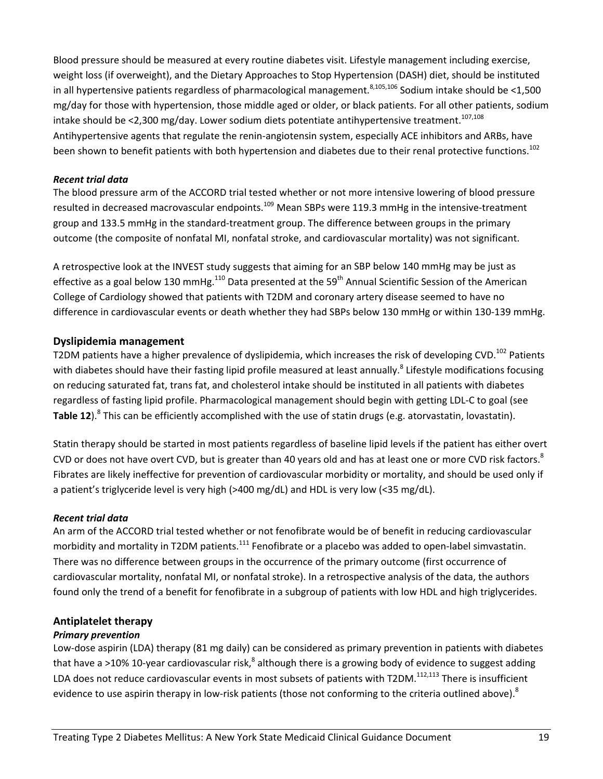Blood pressure should be measured at every routine diabetes visit. Lifestyle management including exercise, weight loss (if overweight), and the Dietary Approaches to Stop Hypertension (DASH) diet, should be instituted in all hypertensive patients regardless of pharmacological management.<sup>8,105,106</sup> Sodium intake should be <1,500 mg/day for those with hypertension, those middle aged or older, or black patients. For all other patients, sodium intake should be <2,300 mg/day. Lower sodium diets potentiate antihypertensive treatment.<sup>107,108</sup> Antihypertensive agents that regulate the renin‐angiotensin system, especially ACE inhibitors and ARBs, have been shown to benefit patients with both hypertension and diabetes due to their renal protective functions.<sup>102</sup>

### *Recent trial data*

The blood pressure arm of the ACCORD trial tested whether or not more intensive lowering of blood pressure resulted in decreased macrovascular endpoints.<sup>109</sup> Mean SBPs were 119.3 mmHg in the intensive-treatment group and 133.5 mmHg in the standard-treatment group. The difference between groups in the primary outcome (the composite of nonfatal MI, nonfatal stroke, and cardiovascular mortality) was not significant.

A retrospective look at the INVEST study suggests that aiming for an SBP below 140 mmHg may be just as effective as a goal below 130 mmHg.<sup>110</sup> Data presented at the 59<sup>th</sup> Annual Scientific Session of the American College of Cardiology showed that patients with T2DM and coronary artery disease seemed to have no difference in cardiovascular events or death whether they had SBPs below 130 mmHg or within 130-139 mmHg.

### **Dyslipidemia management**

T2DM patients have a higher prevalence of dyslipidemia, which increases the risk of developing CVD.<sup>102</sup> Patients with diabetes should have their fasting lipid profile measured at least annually.<sup>8</sup> Lifestyle modifications focusing on reducing saturated fat, trans fat, and cholesterol intake should be instituted in all patients with diabetes regardless of fasting lipid profile. Pharmacological management should begin with getting LDL‐C to goal (see **Table 12**).<sup>8</sup> This can be efficiently accomplished with the use of statin drugs (e.g. atorvastatin, lovastatin).

Statin therapy should be started in most patients regardless of baseline lipid levels if the patient has either overt CVD or does not have overt CVD, but is greater than 40 years old and has at least one or more CVD risk factors.<sup>8</sup> Fibrates are likely ineffective for prevention of cardiovascular morbidity or mortality, and should be used only if a patient's triglyceride level is very high (>400 mg/dL) and HDL is very low (<35 mg/dL).

### *Recent trial data*

An arm of the ACCORD trial tested whether or not fenofibrate would be of benefit in reducing cardiovascular morbidity and mortality in T2DM patients.<sup>111</sup> Fenofibrate or a placebo was added to open-label simvastatin. There was no difference between groups in the occurrence of the primary outcome (first occurrence of cardiovascular mortality, nonfatal MI, or nonfatal stroke). In a retrospective analysis of the data, the authors found only the trend of a benefit for fenofibrate in a subgroup of patients with low HDL and high triglycerides.

### **Antiplatelet therapy**

### *Primary prevention*

Low‐dose aspirin (LDA) therapy (81 mg daily) can be considered as primary prevention in patients with diabetes that have a >10% 10-year cardiovascular risk,<sup>8</sup> although there is a growing body of evidence to suggest adding LDA does not reduce cardiovascular events in most subsets of patients with T2DM.<sup>112,113</sup> There is insufficient evidence to use aspirin therapy in low-risk patients (those not conforming to the criteria outlined above).<sup>8</sup>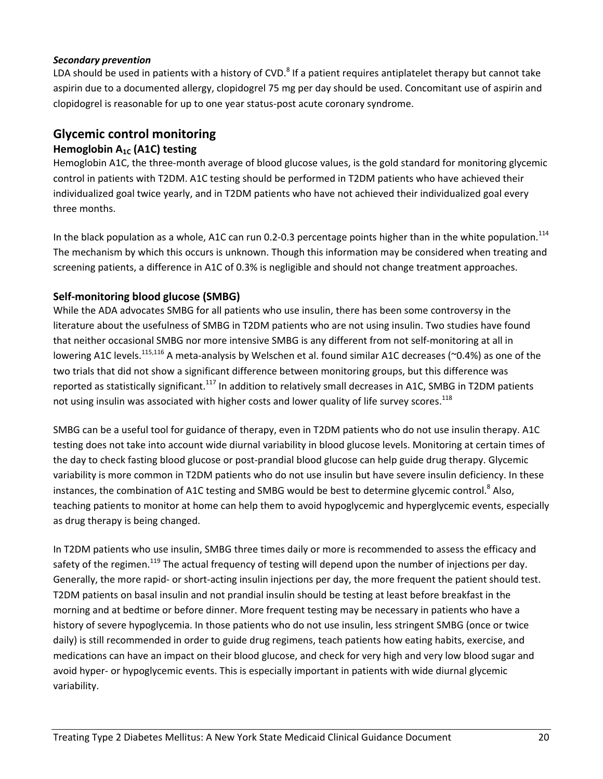### *Secondary prevention*

LDA should be used in patients with a history of CVD.<sup>8</sup> If a patient requires antiplatelet therapy but cannot take aspirin due to a documented allergy, clopidogrel 75 mg per day should be used. Concomitant use of aspirin and clopidogrel is reasonable for up to one year status‐post acute coronary syndrome.

# **Glycemic control monitoring**

# **Hemoglobin A1C (A1C) testing**

Hemoglobin A1C, the three-month average of blood glucose values, is the gold standard for monitoring glycemic control in patients with T2DM. A1C testing should be performed in T2DM patients who have achieved their individualized goal twice yearly, and in T2DM patients who have not achieved their individualized goal every three months.

In the black population as a whole, A1C can run 0.2-0.3 percentage points higher than in the white population.<sup>114</sup> The mechanism by which this occurs is unknown. Though this information may be considered when treating and screening patients, a difference in A1C of 0.3% is negligible and should not change treatment approaches.

### **Self‐monitoring blood glucose (SMBG)**

While the ADA advocates SMBG for all patients who use insulin, there has been some controversy in the literature about the usefulness of SMBG in T2DM patients who are not using insulin. Two studies have found that neither occasional SMBG nor more intensive SMBG is any different from not self-monitoring at all in lowering A1C levels.<sup>115,116</sup> A meta-analysis by Welschen et al. found similar A1C decreases (~0.4%) as one of the two trials that did not show a significant difference between monitoring groups, but this difference was reported as statistically significant.<sup>117</sup> In addition to relatively small decreases in A1C, SMBG in T2DM patients not using insulin was associated with higher costs and lower quality of life survey scores.<sup>118</sup>

SMBG can be a useful tool for guidance of therapy, even in T2DM patients who do not use insulin therapy. A1C testing does not take into account wide diurnal variability in blood glucose levels. Monitoring at certain times of the day to check fasting blood glucose or post‐prandial blood glucose can help guide drug therapy. Glycemic variability is more common in T2DM patients who do not use insulin but have severe insulin deficiency. In these instances, the combination of A1C testing and SMBG would be best to determine glycemic control.<sup>8</sup> Also, teaching patients to monitor at home can help them to avoid hypoglycemic and hyperglycemic events, especially as drug therapy is being changed.

In T2DM patients who use insulin, SMBG three times daily or more is recommended to assess the efficacy and safety of the regimen.<sup>119</sup> The actual frequency of testing will depend upon the number of injections per day. Generally, the more rapid- or short-acting insulin injections per day, the more frequent the patient should test. T2DM patients on basal insulin and not prandial insulin should be testing at least before breakfast in the morning and at bedtime or before dinner. More frequent testing may be necessary in patients who have a history of severe hypoglycemia. In those patients who do not use insulin, less stringent SMBG (once or twice daily) is still recommended in order to guide drug regimens, teach patients how eating habits, exercise, and medications can have an impact on their blood glucose, and check for very high and very low blood sugar and avoid hyper- or hypoglycemic events. This is especially important in patients with wide diurnal glycemic variability.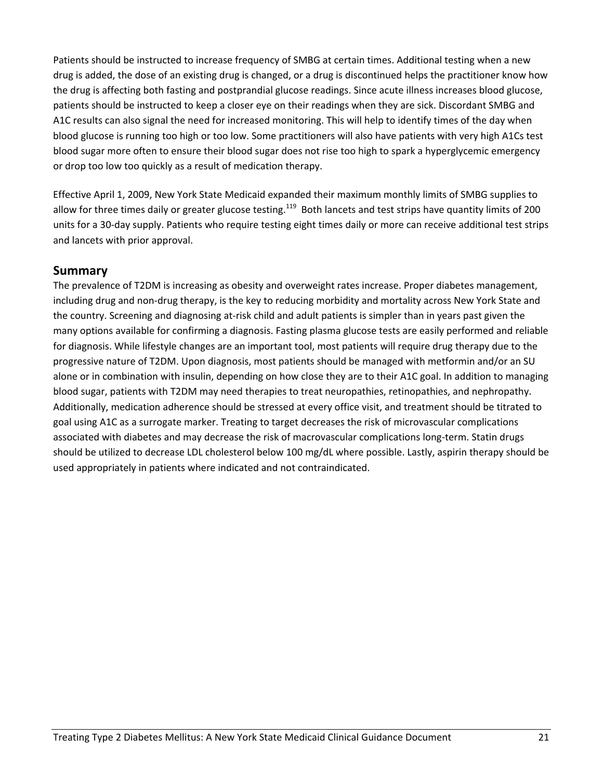Patients should be instructed to increase frequency of SMBG at certain times. Additional testing when a new drug is added, the dose of an existing drug is changed, or a drug is discontinued helps the practitioner know how the drug is affecting both fasting and postprandial glucose readings. Since acute illness increases blood glucose, patients should be instructed to keep a closer eye on their readings when they are sick. Discordant SMBG and A1C results can also signal the need for increased monitoring. This will help to identify times of the day when blood glucose is running too high or too low. Some practitioners will also have patients with very high A1Cs test blood sugar more often to ensure their blood sugar does not rise too high to spark a hyperglycemic emergency or drop too low too quickly as a result of medication therapy.

Effective April 1, 2009, New York State Medicaid expanded their maximum monthly limits of SMBG supplies to allow for three times daily or greater glucose testing.<sup>119</sup> Both lancets and test strips have quantity limits of 200 units for a 30‐day supply. Patients who require testing eight times daily or more can receive additional test strips and lancets with prior approval.

## **Summary**

The prevalence of T2DM is increasing as obesity and overweight rates increase. Proper diabetes management, including drug and non‐drug therapy, is the key to reducing morbidity and mortality across New York State and the country. Screening and diagnosing at‐risk child and adult patients is simpler than in years past given the many options available for confirming a diagnosis. Fasting plasma glucose tests are easily performed and reliable for diagnosis. While lifestyle changes are an important tool, most patients will require drug therapy due to the progressive nature of T2DM. Upon diagnosis, most patients should be managed with metformin and/or an SU alone or in combination with insulin, depending on how close they are to their A1C goal. In addition to managing blood sugar, patients with T2DM may need therapies to treat neuropathies, retinopathies, and nephropathy. Additionally, medication adherence should be stressed at every office visit, and treatment should be titrated to goal using A1C as a surrogate marker. Treating to target decreases the risk of microvascular complications associated with diabetes and may decrease the risk of macrovascular complications long‐term. Statin drugs should be utilized to decrease LDL cholesterol below 100 mg/dL where possible. Lastly, aspirin therapy should be used appropriately in patients where indicated and not contraindicated.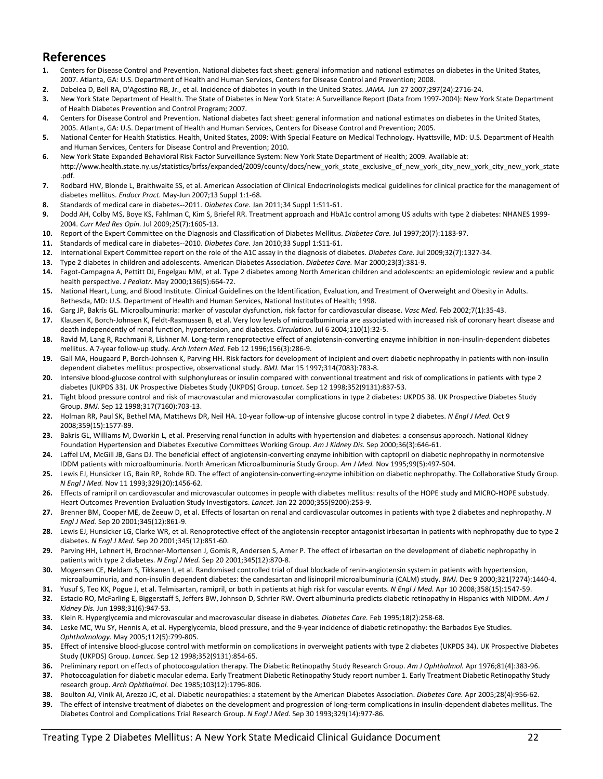# **References**

- **1.** Centers for Disease Control and Prevention. National diabetes fact sheet: general information and national estimates on diabetes in the United States, 2007. Atlanta, GA: U.S. Department of Health and Human Services, Centers for Disease Control and Prevention; 2008.
- **2.** Dabelea D, Bell RA, D'Agostino RB, Jr., et al. Incidence of diabetes in youth in the United States. *JAMA.* Jun 27 2007;297(24):2716‐24.
- **3.** New York State Department of Health. The State of Diabetes in New York State: A Surveillance Report (Data from 1997‐2004): New York State Department of Health Diabetes Prevention and Control Program; 2007.
- **4.** Centers for Disease Control and Prevention. National diabetes fact sheet: general information and national estimates on diabetes in the United States, 2005. Atlanta, GA: U.S. Department of Health and Human Services, Centers for Disease Control and Prevention; 2005.
- **5.** National Center for Health Statistics. Health, United States, 2009: With Special Feature on Medical Technology. Hyattsville, MD: U.S. Department of Health and Human Services, Centers for Disease Control and Prevention; 2010.
- **6.** New York State Expanded Behavioral Risk Factor Surveillance System: New York State Department of Health; 2009. Available at: http://www.health.state.ny.us/statistics/brfss/expanded/2009/county/docs/new\_york\_state\_exclusive\_of\_new\_york\_city\_new\_york\_city\_new\_york\_state .pdf.
- **7.** Rodbard HW, Blonde L, Braithwaite SS, et al. American Association of Clinical Endocrinologists medical guidelines for clinical practice for the management of diabetes mellitus. *Endocr Pract.* May‐Jun 2007;13 Suppl 1:1‐68.
- **8.** Standards of medical care in diabetes‐‐2011. *Diabetes Care.* Jan 2011;34 Suppl 1:S11‐61.
- **9.** Dodd AH, Colby MS, Boye KS, Fahlman C, Kim S, Briefel RR. Treatment approach and HbA1c control among US adults with type 2 diabetes: NHANES 1999‐ 2004. *Curr Med Res Opin.* Jul 2009;25(7):1605‐13.
- **10.** Report of the Expert Committee on the Diagnosis and Classification of Diabetes Mellitus. *Diabetes Care.* Jul 1997;20(7):1183‐97.
- **11.** Standards of medical care in diabetes‐‐2010. *Diabetes Care.* Jan 2010;33 Suppl 1:S11‐61.
- **12.** International Expert Committee report on the role of the A1C assay in the diagnosis of diabetes. *Diabetes Care.* Jul 2009;32(7):1327‐34.
- **13.** Type 2 diabetes in children and adolescents. American Diabetes Association. *Diabetes Care.* Mar 2000;23(3):381‐9.
- **14.** Fagot‐Campagna A, Pettitt DJ, Engelgau MM, et al. Type 2 diabetes among North American children and adolescents: an epidemiologic review and a public health perspective. *J Pediatr.* May 2000;136(5):664‐72.
- **15.** National Heart, Lung, and Blood Institute. Clinical Guidelines on the Identification, Evaluation, and Treatment of Overweight and Obesity in Adults. Bethesda, MD: U.S. Department of Health and Human Services, National Institutes of Health; 1998.
- **16.** Garg JP, Bakris GL. Microalbuminuria: marker of vascular dysfunction, risk factor for cardiovascular disease. *Vasc Med.* Feb 2002;7(1):35‐43.
- 17. Klausen K, Borch-Johnsen K, Feldt-Rasmussen B, et al. Very low levels of microalbuminuria are associated with increased risk of coronary heart disease and death independently of renal function, hypertension, and diabetes. *Circulation.* Jul 6 2004;110(1):32‐5.
- **18.** Ravid M, Lang R, Rachmani R, Lishner M. Long‐term renoprotective effect of angiotensin‐converting enzyme inhibition in non‐insulin‐dependent diabetes mellitus. A 7‐year follow‐up study. *Arch Intern Med.* Feb 12 1996;156(3):286‐9.
- **19.** Gall MA, Hougaard P, Borch‐Johnsen K, Parving HH. Risk factors for development of incipient and overt diabetic nephropathy in patients with non‐insulin dependent diabetes mellitus: prospective, observational study. *BMJ.* Mar 15 1997;314(7083):783‐8.
- **20.** Intensive blood‐glucose control with sulphonylureas or insulin compared with conventional treatment and risk of complications in patients with type 2 diabetes (UKPDS 33). UK Prospective Diabetes Study (UKPDS) Group. *Lancet.* Sep 12 1998;352(9131):837‐53.
- **21.** Tight blood pressure control and risk of macrovascular and microvascular complications in type 2 diabetes: UKPDS 38. UK Prospective Diabetes Study Group. *BMJ.* Sep 12 1998;317(7160):703‐13.
- **22.** Holman RR, Paul SK, Bethel MA, Matthews DR, Neil HA. 10‐year follow‐up of intensive glucose control in type 2 diabetes. *N Engl J Med.* Oct 9 2008;359(15):1577‐89.
- **23.** Bakris GL, Williams M, Dworkin L, et al. Preserving renal function in adults with hypertension and diabetes: a consensus approach. National Kidney Foundation Hypertension and Diabetes Executive Committees Working Group. *Am J Kidney Dis.* Sep 2000;36(3):646‐61.
- **24.** Laffel LM, McGill JB, Gans DJ. The beneficial effect of angiotensin‐converting enzyme inhibition with captopril on diabetic nephropathy in normotensive IDDM patients with microalbuminuria. North American Microalbuminuria Study Group. *Am J Med.* Nov 1995;99(5):497‐504.
- **25.** Lewis EJ, Hunsicker LG, Bain RP, Rohde RD. The effect of angiotensin‐converting‐enzyme inhibition on diabetic nephropathy. The Collaborative Study Group. *N Engl J Med.* Nov 11 1993;329(20):1456‐62.
- **26.** Effects of ramipril on cardiovascular and microvascular outcomes in people with diabetes mellitus: results of the HOPE study and MICRO‐HOPE substudy. Heart Outcomes Prevention Evaluation Study Investigators. *Lancet.* Jan 22 2000;355(9200):253‐9.
- **27.** Brenner BM, Cooper ME, de Zeeuw D, et al. Effects of losartan on renal and cardiovascular outcomes in patients with type 2 diabetes and nephropathy. *N Engl J Med.* Sep 20 2001;345(12):861‐9.
- **28.** Lewis EJ, Hunsicker LG, Clarke WR, et al. Renoprotective effect of the angiotensin‐receptor antagonist irbesartan in patients with nephropathy due to type 2 diabetes. *N Engl J Med.* Sep 20 2001;345(12):851‐60.
- **29.** Parving HH, Lehnert H, Brochner‐Mortensen J, Gomis R, Andersen S, Arner P. The effect of irbesartan on the development of diabetic nephropathy in patients with type 2 diabetes. *N Engl J Med.* Sep 20 2001;345(12):870‐8.
- **30.** Mogensen CE, Neldam S, Tikkanen I, et al. Randomised controlled trial of dual blockade of renin‐angiotensin system in patients with hypertension, microalbuminuria, and non‐insulin dependent diabetes: the candesartan and lisinopril microalbuminuria (CALM) study. *BMJ.* Dec 9 2000;321(7274):1440‐4.
- **31.** Yusuf S, Teo KK, Pogue J, et al. Telmisartan, ramipril, or both in patients at high risk for vascular events. *N Engl J Med.* Apr 10 2008;358(15):1547‐59.
- **32.** Estacio RO, McFarling E, Biggerstaff S, Jeffers BW, Johnson D, Schrier RW. Overt albuminuria predicts diabetic retinopathy in Hispanics with NIDDM. *Am J Kidney Dis.* Jun 1998;31(6):947‐53.
- **33.** Klein R. Hyperglycemia and microvascular and macrovascular disease in diabetes. *Diabetes Care.* Feb 1995;18(2):258‐68.
- **34.** Leske MC, Wu SY, Hennis A, et al. Hyperglycemia, blood pressure, and the 9‐year incidence of diabetic retinopathy: the Barbados Eye Studies. *Ophthalmology.* May 2005;112(5):799‐805.
- **35.** Effect of intensive blood‐glucose control with metformin on complications in overweight patients with type 2 diabetes (UKPDS 34). UK Prospective Diabetes Study (UKPDS) Group. *Lancet.* Sep 12 1998;352(9131):854‐65.
- **36.** Preliminary report on effects of photocoagulation therapy. The Diabetic Retinopathy Study Research Group. *Am J Ophthalmol.* Apr 1976;81(4):383‐96.
- **37.** Photocoagulation for diabetic macular edema. Early Treatment Diabetic Retinopathy Study report number 1. Early Treatment Diabetic Retinopathy Study research group. *Arch Ophthalmol.* Dec 1985;103(12):1796‐806.
- **38.** Boulton AJ, Vinik AI, Arezzo JC, et al. Diabetic neuropathies: a statement by the American Diabetes Association. *Diabetes Care.* Apr 2005;28(4):956‐62.
- 39. The effect of intensive treatment of diabetes on the development and progression of long-term complications in insulin-dependent diabetes mellitus. The Diabetes Control and Complications Trial Research Group. *N Engl J Med.* Sep 30 1993;329(14):977‐86.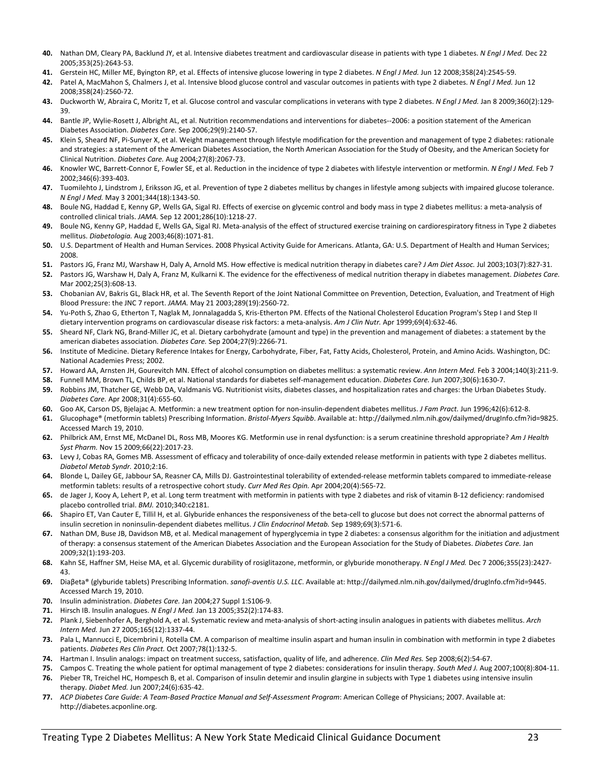- **40.** Nathan DM, Cleary PA, Backlund JY, et al. Intensive diabetes treatment and cardiovascular disease in patients with type 1 diabetes. *N Engl J Med.* Dec 22 2005;353(25):2643‐53.
- **41.** Gerstein HC, Miller ME, Byington RP, et al. Effects of intensive glucose lowering in type 2 diabetes. *N Engl J Med.* Jun 12 2008;358(24):2545‐59.
- **42.** Patel A, MacMahon S, Chalmers J, et al. Intensive blood glucose control and vascular outcomes in patients with type 2 diabetes. *N Engl J Med.* Jun 12 2008;358(24):2560‐72.
- **43.** Duckworth W, Abraira C, Moritz T, et al. Glucose control and vascular complications in veterans with type 2 diabetes. *N Engl J Med.* Jan 8 2009;360(2):129‐ 39.
- **44.** Bantle JP, Wylie‐Rosett J, Albright AL, et al. Nutrition recommendations and interventions for diabetes‐‐2006: a position statement of the American Diabetes Association. *Diabetes Care.* Sep 2006;29(9):2140‐57.
- 45. Klein S, Sheard NF, Pi-Sunyer X, et al. Weight management through lifestyle modification for the prevention and management of type 2 diabetes: rationale and strategies: a statement of the American Diabetes Association, the North American Association for the Study of Obesity, and the American Society for Clinical Nutrition. *Diabetes Care.* Aug 2004;27(8):2067‐73.
- **46.** Knowler WC, Barrett‐Connor E, Fowler SE, et al. Reduction in the incidence of type 2 diabetes with lifestyle intervention or metformin. *N Engl J Med.* Feb 7 2002;346(6):393‐403.
- **47.** Tuomilehto J, Lindstrom J, Eriksson JG, et al. Prevention of type 2 diabetes mellitus by changes in lifestyle among subjects with impaired glucose tolerance. *N Engl J Med.* May 3 2001;344(18):1343‐50.
- **48.** Boule NG, Haddad E, Kenny GP, Wells GA, Sigal RJ. Effects of exercise on glycemic control and body mass in type 2 diabetes mellitus: a meta‐analysis of controlled clinical trials. *JAMA.* Sep 12 2001;286(10):1218‐27.
- **49.** Boule NG, Kenny GP, Haddad E, Wells GA, Sigal RJ. Meta‐analysis of the effect of structured exercise training on cardiorespiratory fitness in Type 2 diabetes mellitus. *Diabetologia.* Aug 2003;46(8):1071‐81.
- **50.** U.S. Department of Health and Human Services. 2008 Physical Activity Guide for Americans. Atlanta, GA: U.S. Department of Health and Human Services; 2008.
- **51.** Pastors JG, Franz MJ, Warshaw H, Daly A, Arnold MS. How effective is medical nutrition therapy in diabetes care? *J Am Diet Assoc.* Jul 2003;103(7):827‐31.
- **52.** Pastors JG, Warshaw H, Daly A, Franz M, Kulkarni K. The evidence for the effectiveness of medical nutrition therapy in diabetes management. *Diabetes Care.* Mar 2002;25(3):608‐13.
- **53.** Chobanian AV, Bakris GL, Black HR, et al. The Seventh Report of the Joint National Committee on Prevention, Detection, Evaluation, and Treatment of High Blood Pressure: the JNC 7 report. *JAMA.* May 21 2003;289(19):2560‐72.
- **54.** Yu‐Poth S, Zhao G, Etherton T, Naglak M, Jonnalagadda S, Kris‐Etherton PM. Effects of the National Cholesterol Education Program's Step I and Step II dietary intervention programs on cardiovascular disease risk factors: a meta‐analysis. *Am J Clin Nutr.* Apr 1999;69(4):632‐46.
- **55.** Sheard NF, Clark NG, Brand‐Miller JC, et al. Dietary carbohydrate (amount and type) in the prevention and management of diabetes: a statement by the american diabetes association. *Diabetes Care.* Sep 2004;27(9):2266‐71.
- **56.** Institute of Medicine. Dietary Reference Intakes for Energy, Carbohydrate, Fiber, Fat, Fatty Acids, Cholesterol, Protein, and Amino Acids. Washington, DC: National Academies Press; 2002.
- **57.** Howard AA, Arnsten JH, Gourevitch MN. Effect of alcohol consumption on diabetes mellitus: a systematic review. *Ann Intern Med.* Feb 3 2004;140(3):211‐9.
- **58.** Funnell MM, Brown TL, Childs BP, et al. National standards for diabetes self‐management education. *Diabetes Care.* Jun 2007;30(6):1630‐7.
- **59.** Robbins JM, Thatcher GE, Webb DA, Valdmanis VG. Nutritionist visits, diabetes classes, and hospitalization rates and charges: the Urban Diabetes Study. *Diabetes Care.* Apr 2008;31(4):655‐60.
- **60.** Goo AK, Carson DS, Bjelajac A. Metformin: a new treatment option for non‐insulin‐dependent diabetes mellitus. *J Fam Pract.* Jun 1996;42(6):612‐8.
- **61.** Glucophage® (metformin tablets) Prescribing Information. *Bristol‐Myers Squibb*. Available at: http://dailymed.nlm.nih.gov/dailymed/drugInfo.cfm?id=9825. Accessed March 19, 2010.
- **62.** Philbrick AM, Ernst ME, McDanel DL, Ross MB, Moores KG. Metformin use in renal dysfunction: is a serum creatinine threshold appropriate? *Am J Health Syst Pharm.* Nov 15 2009;66(22):2017‐23.
- 63. Levy J, Cobas RA, Gomes MB. Assessment of efficacy and tolerability of once-daily extended release metformin in patients with type 2 diabetes mellitus. *Diabetol Metab Syndr.* 2010;2:16.
- **64.** Blonde L, Dailey GE, Jabbour SA, Reasner CA, Mills DJ. Gastrointestinal tolerability of extended‐release metformin tablets compared to immediate‐release metformin tablets: results of a retrospective cohort study. *Curr Med Res Opin.* Apr 2004;20(4):565‐72.
- **65.** de Jager J, Kooy A, Lehert P, et al. Long term treatment with metformin in patients with type 2 diabetes and risk of vitamin B‐12 deficiency: randomised placebo controlled trial. *BMJ.* 2010;340:c2181.
- **66.** Shapiro ET, Van Cauter E, Tillil H, et al. Glyburide enhances the responsiveness of the beta‐cell to glucose but does not correct the abnormal patterns of insulin secretion in noninsulin‐dependent diabetes mellitus. *J Clin Endocrinol Metab.* Sep 1989;69(3):571‐6.
- **67.** Nathan DM, Buse JB, Davidson MB, et al. Medical management of hyperglycemia in type 2 diabetes: a consensus algorithm for the initiation and adjustment of therapy: a consensus statement of the American Diabetes Association and the European Association for the Study of Diabetes. *Diabetes Care.* Jan 2009;32(1):193‐203.
- **68.** Kahn SE, Haffner SM, Heise MA, et al. Glycemic durability of rosiglitazone, metformin, or glyburide monotherapy. *N Engl J Med.* Dec 7 2006;355(23):2427‐ 43.
- **69.** Diaβeta® (glyburide tablets) Prescribing Information. *sanofi‐aventis U.S. LLC*. Available at: http://dailymed.nlm.nih.gov/dailymed/drugInfo.cfm?id=9445. Accessed March 19, 2010.
- **70.** Insulin administration. *Diabetes Care.* Jan 2004;27 Suppl 1:S106‐9.
- **71.** Hirsch IB. Insulin analogues. *N Engl J Med.* Jan 13 2005;352(2):174‐83.
- **72.** Plank J, Siebenhofer A, Berghold A, et al. Systematic review and meta‐analysis of short‐acting insulin analogues in patients with diabetes mellitus. *Arch Intern Med.* Jun 27 2005;165(12):1337‐44.
- **73.** Pala L, Mannucci E, Dicembrini I, Rotella CM. A comparison of mealtime insulin aspart and human insulin in combination with metformin in type 2 diabetes patients. *Diabetes Res Clin Pract.* Oct 2007;78(1):132‐5.
- **74.** Hartman I. Insulin analogs: impact on treatment success, satisfaction, quality of life, and adherence. *Clin Med Res.* Sep 2008;6(2):54‐67.
- **75.** Campos C. Treating the whole patient for optimal management of type 2 diabetes: considerations for insulin therapy. *South Med J.* Aug 2007;100(8):804‐11. **76.** Pieber TR, Treichel HC, Hompesch B, et al. Comparison of insulin detemir and insulin glargine in subjects with Type 1 diabetes using intensive insulin
- therapy. *Diabet Med.* Jun 2007;24(6):635‐42. 77. ACP Diabetes Care Guide: A Team-Based Practice Manual and Self-Assessment Program: American College of Physicians; 2007. Available at: http://diabetes.acponline.org.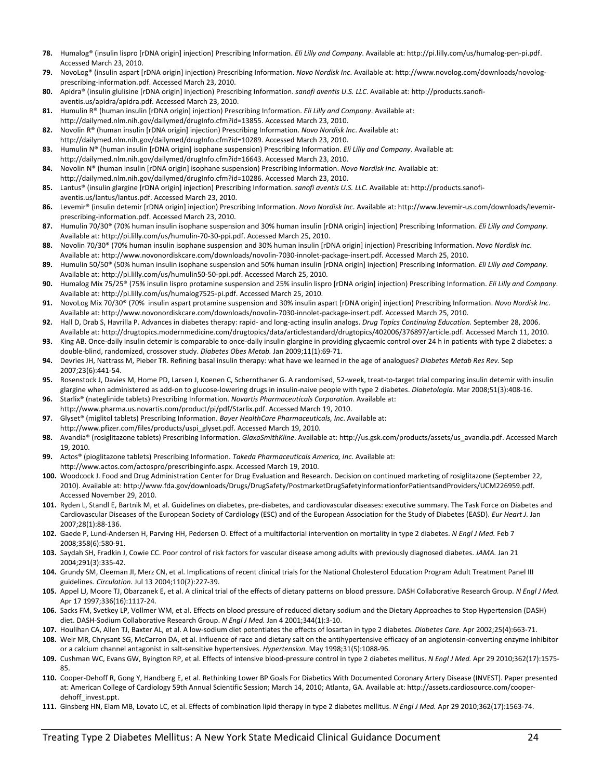- **78.** Humalog® (insulin lispro [rDNA origin] injection) Prescribing Information. *Eli Lilly and Company*. Available at: http://pi.lilly.com/us/humalog‐pen‐pi.pdf. Accessed March 23, 2010.
- **79.** NovoLog® (insulin aspart [rDNA origin] injection) Prescribing Information. *Novo Nordisk Inc*. Available at: http://www.novolog.com/downloads/novolog‐ prescribing‐information.pdf. Accessed March 23, 2010.
- **80.** Apidra® (insulin glulisine [rDNA origin] injection) Prescribing Information. *sanofi aventis U.S. LLC*. Available at: http://products.sanofi‐ aventis.us/apidra/apidra.pdf. Accessed March 23, 2010.
- **81.** Humulin R® (human insulin [rDNA origin] injection) Prescribing Information. *Eli Lilly and Company*. Available at: http://dailymed.nlm.nih.gov/dailymed/drugInfo.cfm?id=13855. Accessed March 23, 2010.
- **82.** Novolin R® (human insulin [rDNA origin] injection) Prescribing Information. *Novo Nordisk Inc*. Available at: http://dailymed.nlm.nih.gov/dailymed/drugInfo.cfm?id=10289. Accessed March 23, 2010.
- **83.** Humulin N® (human insulin [rDNA origin] isophane suspension) Prescribing Information. *Eli Lilly and Company*. Available at: http://dailymed.nlm.nih.gov/dailymed/drugInfo.cfm?id=16643. Accessed March 23, 2010.
- **84.** Novolin N® (human insulin [rDNA origin] isophane suspension) Prescribing Information. *Novo Nordisk Inc*. Available at: http://dailymed.nlm.nih.gov/dailymed/drugInfo.cfm?id=10286. Accessed March 23, 2010.
- **85.** Lantus® (insulin glargine [rDNA origin] injection) Prescribing Information. *sanofi aventis U.S. LLC*. Available at: http://products.sanofi‐ aventis.us/lantus/lantus.pdf. Accessed March 23, 2010.
- **86.** Levemir® (insulin detemir [rDNA origin] injection) Prescribing Information. *Novo Nordisk Inc*. Available at: http://www.levemir‐us.com/downloads/levemir‐ prescribing‐information.pdf. Accessed March 23, 2010.
- **87.** Humulin 70/30® (70% human insulin isophane suspension and 30% human insulin [rDNA origin] injection) Prescribing Information. *Eli Lilly and Company*. Available at: http://pi.lilly.com/us/humulin‐70‐30‐ppi.pdf. Accessed March 25, 2010.
- **88.** Novolin 70/30® (70% human insulin isophane suspension and 30% human insulin [rDNA origin] injection) Prescribing Information. *Novo Nordisk Inc*. Available at: http://www.novonordiskcare.com/downloads/novolin‐7030‐innolet‐package‐insert.pdf. Accessed March 25, 2010.
- **89.** Humulin 50/50® (50% human insulin isophane suspension and 50% human insulin [rDNA origin] injection) Prescribing Information. *Eli Lilly and Company*. Available at: http://pi.lilly.com/us/humulin50‐50‐ppi.pdf. Accessed March 25, 2010.
- **90.** Humalog Mix 75/25® (75% insulin lispro protamine suspension and 25% insulin lispro [rDNA origin] injection) Prescribing Information. *Eli Lilly and Company*. Available at: http://pi.lilly.com/us/humalog7525‐pi.pdf. Accessed March 25, 2010.
- **91.** NovoLog Mix 70/30® (70% insulin aspart protamine suspension and 30% insulin aspart [rDNA origin] injection) Prescribing Information. *Novo Nordisk Inc*. Available at: http://www.novonordiskcare.com/downloads/novolin‐7030‐innolet‐package‐insert.pdf. Accessed March 25, 2010.
- **92.** Hall D, Drab S, Havrilla P. Advances in diabetes therapy: rapid‐ and long‐acting insulin analogs. *Drug Topics Continuing Education.* September 28, 2006. Available at: http://drugtopics.modernmedicine.com/drugtopics/data/articlestandard/drugtopics/402006/376897/article.pdf. Accessed March 11, 2010.
- **93.** King AB. Once-daily insulin detemir is comparable to once-daily insulin glargine in providing glycaemic control over 24 h in patients with type 2 diabetes: a double‐blind, randomized, crossover study. *Diabetes Obes Metab.* Jan 2009;11(1):69‐71.
- **94.** Devries JH, Nattrass M, Pieber TR. Refining basal insulin therapy: what have we learned in the age of analogues? *Diabetes Metab Res Rev.* Sep 2007;23(6):441‐54.
- **95.** Rosenstock J, Davies M, Home PD, Larsen J, Koenen C, Schernthaner G. A randomised, 52‐week, treat‐to‐target trial comparing insulin detemir with insulin glargine when administered as add‐on to glucose‐lowering drugs in insulin‐naive people with type 2 diabetes. *Diabetologia.* Mar 2008;51(3):408‐16.
- **96.** Starlix® (nateglinide tablets) Prescribing Information. *Novartis Pharmaceuticals Corporation*. Available at: http://www.pharma.us.novartis.com/product/pi/pdf/Starlix.pdf. Accessed March 19, 2010.
- **97.** Glyset® (miglitol tablets) Prescribing Information. *Bayer HealthCare Pharmaceuticals, Inc*. Available at: http://www.pfizer.com/files/products/uspi\_glyset.pdf. Accessed March 19, 2010.
- **98.** Avandia® (rosiglitazone tablets) Prescribing Information. *GlaxoSmithKline*. Available at: http://us.gsk.com/products/assets/us\_avandia.pdf. Accessed March 19, 2010.
- **99.** Actos® (pioglitazone tablets) Prescribing Information. *Takeda Pharmaceuticals America, Inc*. Available at: http://www.actos.com/actospro/prescribinginfo.aspx. Accessed March 19, 2010.
- **100.** Woodcock J. Food and Drug Administration Center for Drug Evaluation and Research. Decision on continued marketing of rosiglitazone (September 22, 2010). Available at: http://www.fda.gov/downloads/Drugs/DrugSafety/PostmarketDrugSafetyInformationforPatientsandProviders/UCM226959.pdf. Accessed November 29, 2010.
- **101.** Ryden L, Standl E, Bartnik M, et al. Guidelines on diabetes, pre‐diabetes, and cardiovascular diseases: executive summary. The Task Force on Diabetes and Cardiovascular Diseases of the European Society of Cardiology (ESC) and of the European Association for the Study of Diabetes (EASD). *Eur Heart J.* Jan 2007;28(1):88‐136.
- **102.** Gaede P, Lund‐Andersen H, Parving HH, Pedersen O. Effect of a multifactorial intervention on mortality in type 2 diabetes. *N Engl J Med.* Feb 7 2008;358(6):580‐91.
- **103.** Saydah SH, Fradkin J, Cowie CC. Poor control of risk factors for vascular disease among adults with previously diagnosed diabetes. *JAMA.* Jan 21 2004;291(3):335‐42.
- **104.** Grundy SM, Cleeman JI, Merz CN, et al. Implications of recent clinical trials for the National Cholesterol Education Program Adult Treatment Panel III guidelines. *Circulation.* Jul 13 2004;110(2):227‐39.
- **105.** Appel LJ, Moore TJ, Obarzanek E, et al. A clinical trial of the effects of dietary patterns on blood pressure. DASH Collaborative Research Group. *N Engl J Med.* Apr 17 1997;336(16):1117‐24.
- **106.** Sacks FM, Svetkey LP, Vollmer WM, et al. Effects on blood pressure of reduced dietary sodium and the Dietary Approaches to Stop Hypertension (DASH) diet. DASH‐Sodium Collaborative Research Group. *N Engl J Med.* Jan 4 2001;344(1):3‐10.
- **107.** Houlihan CA, Allen TJ, Baxter AL, et al. A low‐sodium diet potentiates the effects of losartan in type 2 diabetes. *Diabetes Care.* Apr 2002;25(4):663‐71.
- **108.** Weir MR, Chrysant SG, McCarron DA, et al. Influence of race and dietary salt on the antihypertensive efficacy of an angiotensin‐converting enzyme inhibitor or a calcium channel antagonist in salt‐sensitive hypertensives. *Hypertension.* May 1998;31(5):1088‐96.
- **109.** Cushman WC, Evans GW, Byington RP, et al. Effects of intensive blood‐pressure control in type 2 diabetes mellitus. *N Engl J Med.* Apr 29 2010;362(17):1575‐ 85.
- **110.** Cooper‐Dehoff R, Gong Y, Handberg E, et al. Rethinking Lower BP Goals For Diabetics With Documented Coronary Artery Disease (INVEST). Paper presented at: American College of Cardiology 59th Annual Scientific Session; March 14, 2010; Atlanta, GA. Available at: http://assets.cardiosource.com/cooper‐ dehoff\_invest.ppt
- **111.** Ginsberg HN, Elam MB, Lovato LC, et al. Effects of combination lipid therapy in type 2 diabetes mellitus. *N Engl J Med.* Apr 29 2010;362(17):1563‐74.